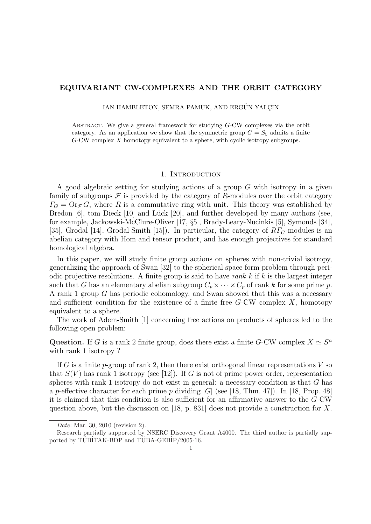# EQUIVARIANT CW-COMPLEXES AND THE ORBIT CATEGORY

IAN HAMBLETON, SEMRA PAMUK, AND ERGÜN YALCIN

Abstract. We give a general framework for studying G-CW complexes via the orbit category. As an application we show that the symmetric group  $G = S_5$  admits a finite G-CW complex X homotopy equivalent to a sphere, with cyclic isotropy subgroups.

#### 1. INTRODUCTION

A good algebraic setting for studying actions of a group G with isotropy in a given family of subgroups  $\mathcal F$  is provided by the category of R-modules over the orbit category  $\Gamma_G = \text{Or}_{\mathcal{F}} G$ , where R is a commutative ring with unit. This theory was established by Bredon [6], tom Dieck [10] and Lück [20], and further developed by many authors (see, for example, Jackowski-McClure-Oliver [17, §5], Brady-Leary-Nucinkis [5], Symonds [34], [35], Grodal [14], Grodal-Smith [15]). In particular, the category of  $R\Gamma$ <sub>G</sub>-modules is an abelian category with Hom and tensor product, and has enough projectives for standard homological algebra.

In this paper, we will study finite group actions on spheres with non-trivial isotropy, generalizing the approach of Swan [32] to the spherical space form problem through periodic projective resolutions. A finite group is said to have rank  $k$  if  $k$  is the largest integer such that G has an elementary abelian subgroup  $C_p \times \cdots \times C_p$  of rank k for some prime p. A rank 1 group G has periodic cohomology, and Swan showed that this was a necessary and sufficient condition for the existence of a finite free  $G$ -CW complex  $X$ , homotopy equivalent to a sphere.

The work of Adem-Smith [1] concerning free actions on products of spheres led to the following open problem:

Question. If G is a rank 2 finite group, does there exist a finite G-CW complex  $X \simeq S^n$ with rank 1 isotropy?

If G is a finite p-group of rank 2, then there exist orthogonal linear representations V so that  $S(V)$  has rank 1 isotropy (see [12]). If G is not of prime power order, representation spheres with rank 1 isotropy do not exist in general: a necessary condition is that  $G$  has a p-effective character for each prime p dividing  $|G|$  (see [18, Thm. 47]). In [18, Prop. 48] it is claimed that this condition is also sufficient for an affirmative answer to the G-CW question above, but the discussion on [18, p. 831] does not provide a construction for  $X$ .

Date: Mar. 30, 2010 (revision 2).

Research partially supported by NSERC Discovery Grant A4000. The third author is partially supported by TÜBİTAK-BDP and TÜBA-GEBİP/2005-16.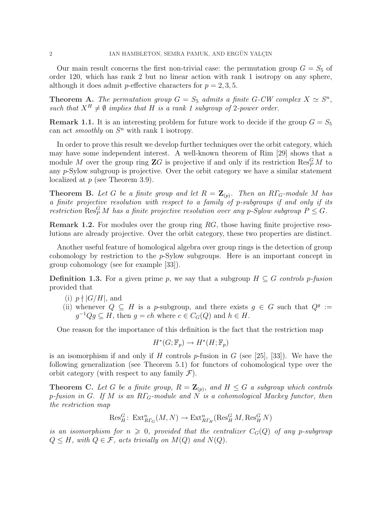Our main result concerns the first non-trivial case: the permutation group  $G = S_5$  of order 120, which has rank 2 but no linear action with rank 1 isotropy on any sphere, although it does admit *p*-effective characters for  $p = 2, 3, 5$ .

**Theorem A.** The permutation group  $G = S_5$  admits a finite G-CW complex  $X \simeq S^n$ , such that  $X^H \neq \emptyset$  implies that H is a rank 1 subgroup of 2-power order.

**Remark 1.1.** It is an interesting problem for future work to decide if the group  $G = S_5$ can act *smoothly* on  $S<sup>n</sup>$  with rank 1 isotropy.

In order to prove this result we develop further techniques over the orbit category, which may have some independent interest. A well-known theorem of Rim [29] shows that a module M over the group ring  $\mathbf{Z}G$  is projective if and only if its restriction  $\operatorname{Res}_{P}^{G}M$  to any p-Sylow subgroup is projective. Over the orbit category we have a similar statement localized at  $p$  (see Theorem 3.9).

**Theorem B.** Let G be a finite group and let  $R = \mathbb{Z}_{(p)}$ . Then an R<sub>LG</sub>-module M has a finite projective resolution with respect to a family of p-subgroups if and only if its restriction  $\text{Res}_P^G M$  has a finite projective resolution over any p-Sylow subgroup  $P \leq G$ .

Remark 1.2. For modules over the group ring RG, those having finite projective resolutions are already projective. Over the orbit category, these two properties are distinct.

Another useful feature of homological algebra over group rings is the detection of group cohomology by restriction to the p-Sylow subgroups. Here is an important concept in group cohomology (see for example [33]).

**Definition 1.3.** For a given prime p, we say that a subgroup  $H \subseteq G$  controls p-fusion provided that

- (i)  $p \nmid |G/H|$ , and
- (ii) whenever  $Q \subseteq H$  is a p-subgroup, and there exists  $g \in G$  such that  $Q^g :=$  $g^{-1}Qg \subseteq H$ , then  $g = ch$  where  $c \in C_G(Q)$  and  $h \in H$ .

One reason for the importance of this definition is the fact that the restriction map

 $H^*(G; \mathbb{F}_p) \to H^*(H; \mathbb{F}_p)$ 

is an isomorphism if and only if H controls p-fusion in G (see [25], [33]). We have the following generalization (see Theorem 5.1) for functors of cohomological type over the orbit category (with respect to any family  $\mathcal{F}$ ).

**Theorem C.** Let G be a finite group,  $R = \mathbb{Z}_{(p)}$ , and  $H \leq G$  a subgroup which controls p-fusion in G. If M is an  $R\Gamma_G$ -module and N is a cohomological Mackey functor, then the restriction map

$$
\text{Res}^G_H\colon \operatorname{Ext}^n_{R\Gamma_G}(M,N)\to \operatorname{Ext}^n_{R\Gamma_H}(\operatorname{Res}^G_HM,\operatorname{Res}^G_HN)
$$

is an isomorphism for  $n \geq 0$ , provided that the centralizer  $C_G(Q)$  of any p-subgroup  $Q \leq H$ , with  $Q \in \mathcal{F}$ , acts trivially on  $M(Q)$  and  $N(Q)$ .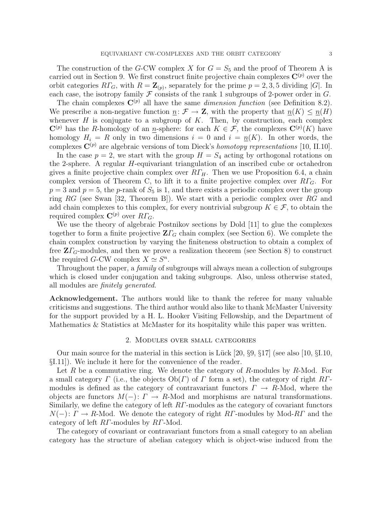The construction of the G-CW complex X for  $G = S_5$  and the proof of Theorem A is carried out in Section 9. We first construct finite projective chain complexes  $\mathbf{C}^{(p)}$  over the orbit categories  $R\Gamma_G$ , with  $R = \mathbb{Z}_{(p)}$ , separately for the prime  $p = 2, 3, 5$  dividing  $|G|$ . In each case, the isotropy family  $\mathcal F$  consists of the rank 1 subgroups of 2-power order in  $G$ .

The chain complexes  $\mathbf{C}^{(p)}$  all have the same *dimension function* (see Definition 8.2). We prescribe a non-negative function  $\underline{n}: \mathcal{F} \to \mathbf{Z}$ , with the property that  $\underline{n}(K) \le \underline{n}(H)$ whenever  $H$  is conjugate to a subgroup of  $K$ . Then, by construction, each complex  $\mathbf{C}^{(p)}$  has the R-homology of an n-sphere: for each  $K \in \mathcal{F}$ , the complexes  $\mathbf{C}^{(p)}(K)$  have homology  $H_i = R$  only in two dimensions  $i = 0$  and  $i = n(K)$ . In other words, the complexes  $\mathbf{C}^{(p)}$  are algebraic versions of tom Dieck's homotopy representations [10, II.10].

In the case  $p = 2$ , we start with the group  $H = S_4$  acting by orthogonal rotations on the 2-sphere. A regular H-equivariant triangulation of an inscribed cube or octahedron gives a finite projective chain complex over  $R\Gamma_H$ . Then we use Proposition 6.4, a chain complex version of Theorem C, to lift it to a finite projective complex over  $R\Gamma_G$ . For  $p = 3$  and  $p = 5$ , the p-rank of  $S_5$  is 1, and there exists a periodic complex over the group ring RG (see Swan [32, Theorem B]). We start with a periodic complex over RG and add chain complexes to this complex, for every nontrivial subgroup  $K \in \mathcal{F}$ , to obtain the required complex  $\mathbf{C}^{(p)}$  over  $R\Gamma_G$ .

We use the theory of algebraic Postnikov sections by Dold [11] to glue the complexes together to form a finite projective  $\mathbf{Z}\Gamma_G$  chain complex (see Section 6). We complete the chain complex construction by varying the finiteness obstruction to obtain a complex of free  $Z\Gamma$ <sub>G</sub>-modules, and then we prove a realization theorem (see Section 8) to construct the required G-CW complex  $X \simeq S^n$ .

Throughout the paper, a *family* of subgroups will always mean a collection of subgroups which is closed under conjugation and taking subgroups. Also, unless otherwise stated, all modules are finitely generated.

Acknowledgement. The authors would like to thank the referee for many valuable criticisms and suggestions. The third author would also like to thank McMaster University for the support provided by a H. L. Hooker Visiting Fellowship, and the Department of Mathematics & Statistics at McMaster for its hospitality while this paper was written.

#### 2. Modules over small categories

Our main source for the material in this section is Lück [20,  $\S 9$ ,  $\S 17$ ] (see also [10,  $\S 1.10$ , §I.11]). We include it here for the convenience of the reader.

Let R be a commutative ring. We denote the category of R-modules by R-Mod. For a small category  $\Gamma$  (i.e., the objects  $Ob(\Gamma)$  of  $\Gamma$  form a set), the category of right R $\Gamma$ modules is defined as the category of contravariant functors  $\Gamma \to R\text{-Mod}$ , where the objects are functors  $M(-)$ :  $\Gamma \to R$ -Mod and morphisms are natural transformations. Similarly, we define the category of left  $RT$ -modules as the category of covariant functors  $N(-): \Gamma \to R$ -Mod. We denote the category of right  $R\Gamma$ -modules by Mod- $R\Gamma$  and the category of left RΓ-modules by RΓ-Mod.

The category of covariant or contravariant functors from a small category to an abelian category has the structure of abelian category which is object-wise induced from the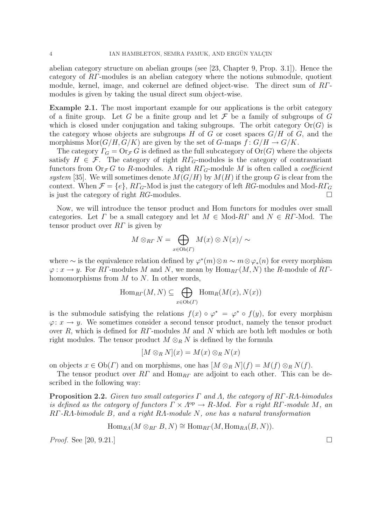abelian category structure on abelian groups (see [23, Chapter 9, Prop. 3.1]). Hence the category of RΓ-modules is an abelian category where the notions submodule, quotient module, kernel, image, and cokernel are defined object-wise. The direct sum of RTmodules is given by taking the usual direct sum object-wise.

Example 2.1. The most important example for our applications is the orbit category of a finite group. Let G be a finite group and let F be a family of subgroups of G which is closed under conjugation and taking subgroups. The orbit category  $\text{Or}(G)$  is the category whose objects are subgroups H of G or coset spaces  $G/H$  of G, and the morphisms  $\text{Mor}(G/H, G/K)$  are given by the set of G-maps  $f: G/H \to G/K$ .

The category  $\Gamma_G = \text{Or}_{\mathcal{F}} G$  is defined as the full subcategory of  $\text{Or}(G)$  where the objects satisfy  $H \in \mathcal{F}$ . The category of right  $R\Gamma$ <sub>G</sub>-modules is the category of contravariant functors from  $Or_{\mathcal{F}} G$  to R-modules. A right  $R\Gamma_G$ -module M is often called a *coefficient* system [35]. We will sometimes denote  $M(G/H)$  by  $M(H)$  if the group G is clear from the context. When  $\mathcal{F} = \{e\}, R\Gamma_G$ -Mod is just the category of left RG-modules and Mod- $R\Gamma_G$ is just the category of right  $RG$ -modules.

Now, we will introduce the tensor product and Hom functors for modules over small categories. Let  $\Gamma$  be a small category and let  $M \in Mod-R\Gamma$  and  $N \in R\Gamma$ -Mod. The tensor product over  $RT$  is given by

$$
M \otimes_{R\Gamma} N = \bigoplus_{x \in \mathrm{Ob}(\Gamma)} M(x) \otimes N(x) / \sim
$$

where  $\sim$  is the equivalence relation defined by  $\varphi^*(m) \otimes n \sim m \otimes \varphi_*(n)$  for every morphism  $\varphi: x \to y$ . For RF-modules M and N, we mean by  $\text{Hom}_{RF}(M, N)$  the R-module of RFhomomorphisms from  $M$  to  $N$ . In other words,

$$
\operatorname{Hom}_{\mathbb{R}\Gamma}(M,N) \subseteq \bigoplus_{x \in \operatorname{Ob}(\Gamma)} \operatorname{Hom}_{\mathbb{R}}(M(x), N(x))
$$

is the submodule satisfying the relations  $f(x) \circ \varphi^* = \varphi^* \circ f(y)$ , for every morphism  $\varphi: x \to y$ . We sometimes consider a second tensor product, namely the tensor product over R, which is defined for  $RT$ -modules M and N which are both left modules or both right modules. The tensor product  $M \otimes_R N$  is defined by the formula

$$
[M \otimes_R N](x) = M(x) \otimes_R N(x)
$$

on objects  $x \in Ob(\Gamma)$  and on morphisms, one has  $[M \otimes_R N](f) = M(f) \otimes_R N(f)$ .

The tensor product over  $RT$  and  $\text{Hom}_{RT}$  are adjoint to each other. This can be described in the following way:

**Proposition 2.2.** Given two small categories  $\Gamma$  and  $\Lambda$ , the category of RΓ-R $\Lambda$ -bimodules is defined as the category of functors  $\Gamma \times \Lambda^{\rm op} \to R$ -Mod. For a right RΓ-module M, an RΓ-RΛ-bimodule B, and a right RΛ-module N, one has a natural transformation

$$
\operatorname{Hom}_{RA}(M \otimes_{R\Gamma} B, N) \cong \operatorname{Hom}_{R\Gamma}(M, \operatorname{Hom}_{RA}(B, N)).
$$

*Proof.* See [20, 9.21.]  $\Box$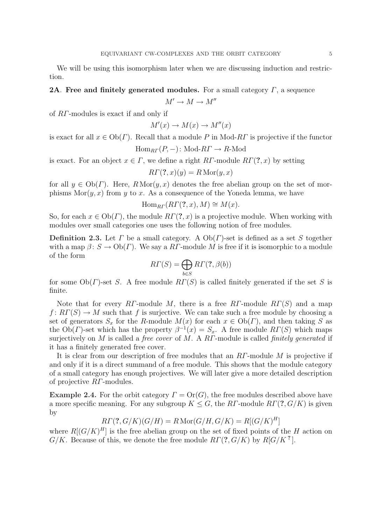We will be using this isomorphism later when we are discussing induction and restriction.

# **2A.** Free and finitely generated modules. For a small category  $\Gamma$ , a sequence

$$
M' \to M \to M''
$$

of RΓ-modules is exact if and only if

$$
M'(x) \to M(x) \to M''(x)
$$

is exact for all  $x \in Ob(\Gamma)$ . Recall that a module P in Mod-RT is projective if the functor

$$
Hom_{R\Gamma}(P, -): Mod-R\Gamma \to R\text{-Mod}
$$

is exact. For an object  $x \in \Gamma$ , we define a right RΓ-module  $RT(?, x)$  by setting

$$
R\Gamma(?,x)(y) = R\operatorname{Mor}(y,x)
$$

for all  $y \in Ob(\Gamma)$ . Here,  $R Mor(y, x)$  denotes the free abelian group on the set of morphisms  $Mor(y, x)$  from y to x. As a consequence of the Yoneda lemma, we have

$$
\operatorname{Hom}_{RT}(R\Gamma(?,x),M)\cong M(x).
$$

So, for each  $x \in Ob(\Gamma)$ , the module  $RT(?, x)$  is a projective module. When working with modules over small categories one uses the following notion of free modules.

**Definition 2.3.** Let  $\Gamma$  be a small category. A  $Ob(\Gamma)$ -set is defined as a set S together with a map  $\beta: S \to Ob(\Gamma)$ . We say a RT-module M is free if it is isomorphic to a module of the form

$$
R\Gamma(S) = \bigoplus_{b \in S} R\Gamma(?, \beta(b))
$$

for some  $Ob(\Gamma)$ -set S. A free module  $RT(S)$  is called finitely generated if the set S is finite.

Note that for every RΓ-module M, there is a free RΓ-module  $R\Gamma(S)$  and a map  $f: R\Gamma(S) \to M$  such that f is surjective. We can take such a free module by choosing a set of generators  $S_x$  for the R-module  $M(x)$  for each  $x \in Ob(\Gamma)$ , and then taking S as the  $Ob(\Gamma)$ -set which has the property  $\beta^{-1}(x) = S_x$ . A free module  $R\Gamma(S)$  which maps surjectively on M is called a free cover of M. A  $RT$ -module is called finitely generated if it has a finitely generated free cover.

It is clear from our description of free modules that an RΓ-module M is projective if and only if it is a direct summand of a free module. This shows that the module category of a small category has enough projectives. We will later give a more detailed description of projective RΓ-modules.

**Example 2.4.** For the orbit category  $\Gamma = \text{Or}(G)$ , the free modules described above have a more specific meaning. For any subgroup  $K \leq G$ , the RT-module  $R\Gamma(?, G/K)$  is given by

$$
R\Gamma(?, G/K)(G/H) = R\operatorname{Mor}(G/H, G/K) = R[(G/K)^H]
$$

where  $R[(G/K)^H]$  is the free abelian group on the set of fixed points of the H action on  $G/K$ . Because of this, we denote the free module  $RT(?, G/K)$  by  $R[G/K$ <sup>?</sup>.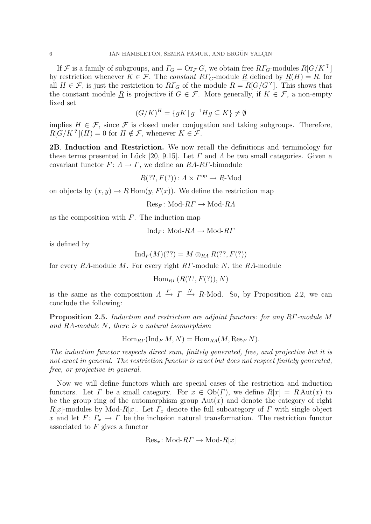If  $\mathcal F$  is a family of subgroups, and  $\Gamma_G = \text{Or}_{\mathcal F} G$ , we obtain free  $R\Gamma_G$ -modules  $R[G/K^2]$ by restriction whenever  $K \in \mathcal{F}$ . The constant  $R\Gamma_G$ -module  $\underline{R}$  defined by  $\underline{R}(H) = R$ , for all  $H \in \mathcal{F}$ , is just the restriction to  $R\Gamma_G$  of the module  $\underline{R} = R[G/G^2]$ . This shows that the constant module R is projective if  $G \in \mathcal{F}$ . More generally, if  $K \in \mathcal{F}$ , a non-empty fixed set

$$
(G/K)^H = \{ gK \mid g^{-1}Hg \subseteq K \} \neq \emptyset
$$

implies  $H \in \mathcal{F}$ , since  $\mathcal{F}$  is closed under conjugation and taking subgroups. Therefore,  $R[G/K^2](H) = 0$  for  $H \notin \mathcal{F}$ , whenever  $K \in \mathcal{F}$ .

2B. Induction and Restriction. We now recall the definitions and terminology for these terms presented in Lück [20, 9.15]. Let  $\Gamma$  and  $\Lambda$  be two small categories. Given a covariant functor  $F: A \to \Gamma$ , we define an RA-RT-bimodule

 $R(??, F(?)): A \times \Gamma^{\text{op}} \to R\text{-Mod}$ 

on objects by  $(x, y) \to R$  Hom $(y, F(x))$ . We define the restriction map

 $Res_F: Mod-R\Gamma \to Mod-R\Lambda$ 

as the composition with  $F$ . The induction map

$$
\mathrm{Ind}_F\colon \mathrm{Mod}\text{-}RA \to \mathrm{Mod}\text{-}R\Gamma
$$

is defined by

$$
Ind_F(M)(??) = M \otimes_{RA} R(??, F(?))
$$

for every RΛ-module M. For every right RΓ-module N, the RΛ-module

 $\text{Hom}_{\text{RF}}(R(??, F(?)), N)$ 

is the same as the composition  $A \stackrel{F}{\rightarrow} \Gamma \stackrel{N}{\rightarrow} R$ -Mod. So, by Proposition 2.2, we can conclude the following:

Proposition 2.5. Induction and restriction are adjoint functors: for any RΓ-module M and  $RA$ -module  $N$ , there is a natural isomorphism

 $\operatorname{Hom}_{B\Gamma}(\operatorname{Ind}_F M, N) = \operatorname{Hom}_{B\Lambda}(M, \operatorname{Res}_F N).$ 

The induction functor respects direct sum, finitely generated, free, and projective but it is not exact in general. The restriction functor is exact but does not respect finitely generated, free, or projective in general.

Now we will define functors which are special cases of the restriction and induction functors. Let  $\Gamma$  be a small category. For  $x \in Ob(\Gamma)$ , we define  $R[x] = R Aut(x)$  to be the group ring of the automorphism group  $Aut(x)$  and denote the category of right  $R[x]$ -modules by Mod- $R[x]$ . Let  $\Gamma_x$  denote the full subcategory of  $\Gamma$  with single object x and let  $F: \Gamma_x \to \Gamma$  be the inclusion natural transformation. The restriction functor associated to  $F$  gives a functor

$$
\text{Res}_x\colon \text{Mod-}R\Gamma \to \text{Mod-}R[x]
$$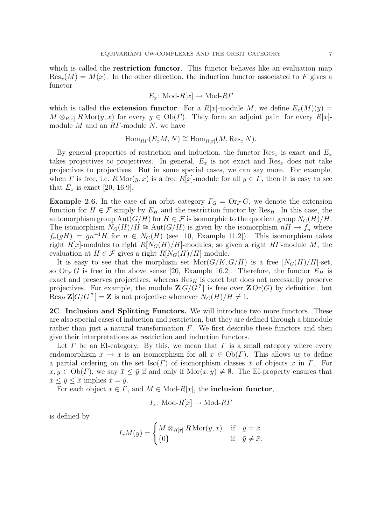which is called the **restriction functor**. This functor behaves like an evaluation map  $\text{Res}_x(M) = M(x)$ . In the other direction, the induction functor associated to F gives a functor

$$
E_x \colon \text{Mod-}R[x] \to \text{Mod-}R\Gamma
$$

which is called the **extension functor**. For a  $R[x]$ -module M, we define  $E_x(M)(y) =$  $M \otimes_{R[x]} R \text{Mor}(y, x)$  for every  $y \in Ob(\Gamma)$ . They form an adjoint pair: for every  $R[x]$ module  $M$  and an  $RT$ -module  $N$ , we have

$$
\operatorname{Hom}_{R\Gamma}(E_xM, N) \cong \operatorname{Hom}_{R[x]}(M, \operatorname{Res}_x N).
$$

By general properties of restriction and induction, the functor  $\text{Res}_x$  is exact and  $E_x$ takes projectives to projectives. In general,  $E_x$  is not exact and Res<sub>x</sub> does not take projectives to projectives. But in some special cases, we can say more. For example, when  $\Gamma$  is free, i.e.  $R \text{Mor}(y, x)$  is a free  $R[x]$ -module for all  $y \in \Gamma$ , then it is easy to see that  $E_x$  is exact [20, 16.9].

**Example 2.6.** In the case of an orbit category  $\Gamma_G = \text{Or}_{\mathcal{F}} G$ , we denote the extension function for  $H \in \mathcal{F}$  simply by  $E_H$  and the restriction functor by Res<sub>H</sub>. In this case, the automorphism group  $\text{Aut}(G/H)$  for  $H \in \mathcal{F}$  is isomorphic to the quotient group  $N_G(H)/H$ . The isomorphism  $N_G(H)/H \cong \text{Aut}(G/H)$  is given by the isomorphism  $nH \to f_n$  where  $f_n(gH) = gn^{-1}H$  for  $n \in N_G(H)$  (see [10, Example 11.2]). This isomorphism takes right R[x]-modules to right  $R[N_G(H)/H]$ -modules, so given a right RΓ-module M, the evaluation at  $H \in \mathcal{F}$  gives a right  $R[N_G(H)/H]$ -module.

It is easy to see that the morphism set  $\text{Mor}(G/K, G/H)$  is a free  $[N_G(H)/H]$ -set, so  $\text{Or}_{\mathcal{F}} G$  is free in the above sense [20, Example 16.2]. Therefore, the functor  $E_H$  is exact and preserves projectives, whereas  $\text{Res}_{H}$  is exact but does not necessarily preserve projectives. For example, the module  $\mathbb{Z}[G/G^2]$  is free over  $\mathbb{Z} \text{Or}(G)$  by definition, but  $\operatorname{Res}_H \mathbf{Z}[G/G^2] = \mathbf{Z}$  is not projective whenever  $N_G(H)/H \neq 1$ .

2C. Inclusion and Splitting Functors. We will introduce two more functors. These are also special cases of induction and restriction, but they are defined through a bimodule rather than just a natural transformation  $F$ . We first describe these functors and then give their interpretations as restriction and induction functors.

Let  $\Gamma$  be an EI-category. By this, we mean that  $\Gamma$  is a small category where every endomorphism  $x \to x$  is an isomorphism for all  $x \in Ob(\Gamma)$ . This allows us to define a partial ordering on the set Iso(Γ) of isomorphism classes  $\bar{x}$  of objects x in Γ. For  $x, y \in Ob(\Gamma)$ , we say  $\bar{x} \leq \bar{y}$  if and only if  $Mor(x, y) \neq \emptyset$ . The EI-property ensures that  $\bar{x} \leq \bar{y} \leq \bar{x}$  implies  $\bar{x} = \bar{y}$ .

For each object  $x \in \Gamma$ , and  $M \in Mod-R[x]$ , the **inclusion functor**,

$$
I_x
$$
: Mod- $R[x] \to \text{Mod-}RI$ 

is defined by

$$
I_xM(y) = \begin{cases} M \otimes_{R[x]} R \operatorname{Mor}(y, x) & \text{if } \bar{y} = \bar{x} \\ \{0\} & \text{if } \bar{y} \neq \bar{x}.\end{cases}
$$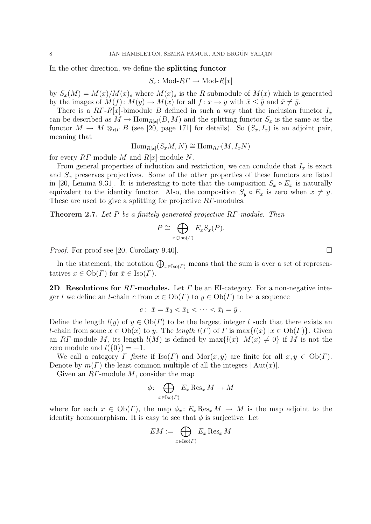In the other direction, we define the splitting functor

 $S_x$ : Mod- $R\Gamma \rightarrow$  Mod- $R[x]$ 

by  $S_x(M) = M(x)/M(x)$ , where  $M(x)$ , is the R-submodule of  $M(x)$  which is generated by the images of  $M(f)$ :  $M(y) \to M(x)$  for all  $f: x \to y$  with  $\bar{x} \leq \bar{y}$  and  $\bar{x} \neq \bar{y}$ .

There is a  $RT-R[x]$ -bimodule B defined in such a way that the inclusion functor  $I_x$ can be described as  $M \to \text{Hom}_{R[x]}(B, M)$  and the splitting functor  $S_x$  is the same as the functor  $M \to M \otimes_{RF} B$  (see [20, page 171] for details). So  $(S_x, I_x)$  is an adjoint pair, meaning that

 $\text{Hom}_{R[x]}(S_xM, N) \cong \text{Hom}_{R\Gamma}(M, I_xN)$ 

for every  $RT$ -module M and  $R[x]$ -module N.

From general properties of induction and restriction, we can conclude that  $I_x$  is exact and  $S_x$  preserves projectives. Some of the other properties of these functors are listed in [20, Lemma 9.31]. It is interesting to note that the composition  $S_x \circ E_x$  is naturally equivalent to the identity functor. Also, the composition  $S_y \circ E_x$  is zero when  $\bar{x} \neq \bar{y}$ . These are used to give a splitting for projective RΓ-modules.

Theorem 2.7. Let P be a finitely generated projective RΓ-module. Then

$$
P \cong \bigoplus_{x \in \text{Iso}(P)} E_x S_x(P).
$$

*Proof.* For proof see [20, Corollary 9.40].

In the statement, the notation  $\bigoplus_{x\in\text{Iso}(\Gamma)}$  means that the sum is over a set of representatives  $x \in Ob(\Gamma)$  for  $\overline{x} \in Iso(\Gamma)$ .

**2D. Resolutions for RΓ-modules.** Let  $\Gamma$  be an EI-category. For a non-negative integer l we define an l-chain c from  $x \in Ob(\Gamma)$  to  $y \in Ob(\Gamma)$  to be a sequence

$$
c: \ \bar{x} = \bar{x}_0 < \bar{x}_1 < \cdots < \bar{x}_l = \bar{y} \ .
$$

Define the length  $l(y)$  of  $y \in Ob(\Gamma)$  to be the largest integer l such that there exists an l-chain from some  $x \in Ob(x)$  to y. The length  $l(\Gamma)$  of  $\Gamma$  is  $\max\{l(x) | x \in Ob(\Gamma)\}\)$ . Given an RΓ-module M, its length  $l(M)$  is defined by  $\max\{l(x) | M(x) \neq 0\}$  if M is not the zero module and  $l({0}) = -1$ .

We call a category  $\Gamma$  finite if  $\text{Iso}(\Gamma)$  and  $\text{Mor}(x, y)$  are finite for all  $x, y \in \text{Ob}(\Gamma)$ . Denote by  $m(\Gamma)$  the least common multiple of all the integers  $|\text{Aut}(x)|$ .

Given an  $RT$ -module  $M$ , consider the map  $\overline{a}$ 

$$
\phi \colon \bigoplus_{x \in \text{Iso}(F)} E_x \text{Res}_x M \to M
$$

where for each  $x \in Ob(\Gamma)$ , the map  $\phi_x: E_x \text{Res}_x M \to M$  is the map adjoint to the identity homomorphism. It is easy to see that  $\phi$  is surjective. Let

$$
EM := \bigoplus_{x \in \operatorname{Iso}(F)} E_x \operatorname{Res}_x M
$$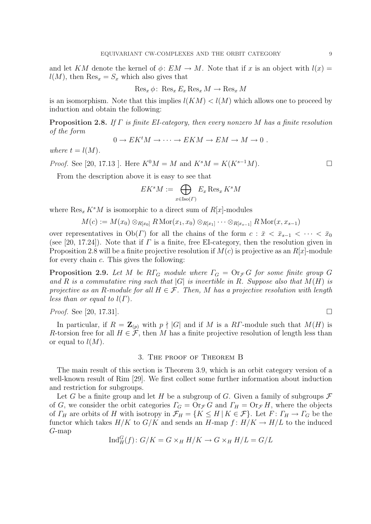and let KM denote the kernel of  $\phi: EM \to M$ . Note that if x is an object with  $l(x) =$  $l(M)$ , then  $\text{Res}_x = S_x$  which also gives that

$$
\operatorname{Res}_x \phi: \operatorname{Res}_x E_x \operatorname{Res}_x M \to \operatorname{Res}_x M
$$

is an isomorphism. Note that this implies  $l(KM) < l(M)$  which allows one to proceed by induction and obtain the following:

**Proposition 2.8.** If  $\Gamma$  is finite EI-category, then every nonzero M has a finite resolution of the form

$$
0 \to E K^t M \to \cdots \to E K M \to E M \to M \to 0 .
$$

where  $t = l(M)$ .

*Proof.* See [20, 17.13 ]. Here  $K^{0}M = M$  and  $K^{s}M = K(K^{s-1}M)$ . □

From the description above it is easy to see that

$$
EK^sM:=\bigoplus_{x\in {\rm Iso}(\varGamma)}E_x\operatorname{Res}_xK^sM
$$

where  $\text{Res}_x K^sM$  is isomorphic to a direct sum of  $R[x]$ -modules

$$
M(c):=M(x_0)\otimes_{R[x_0]}R\operatorname{Mor}(x_1,x_0)\otimes_{R[x_1]}\cdots\otimes_{R[x_{s-1}]}R\operatorname{Mor}(x,x_{s-1})
$$

over representatives in  $Ob(\Gamma)$  for all the chains of the form  $c : \bar{x} < \bar{x}_{s-1} < \cdots < \bar{x}_0$ (see [20, 17.24]). Note that if  $\Gamma$  is a finite, free EI-category, then the resolution given in Proposition 2.8 will be a finite projective resolution if  $M(c)$  is projective as an  $R[x]$ -module for every chain c. This gives the following:

**Proposition 2.9.** Let M be RΓ<sub>G</sub> module where  $\Gamma_G = \text{Or}_{\mathcal{F}} G$  for some finite group G and R is a commutative ring such that  $|G|$  is invertible in R. Suppose also that  $M(H)$  is projective as an R-module for all  $H \in \mathcal{F}$ . Then, M has a projective resolution with length less than or equal to  $l(\Gamma)$ .

*Proof.* See [20, 17.31].

In particular, if  $R = \mathbb{Z}_{(p)}$  with  $p \nmid |G|$  and if M is a RT-module such that  $M(H)$  is R-torsion free for all  $H \in \mathcal{F}$ , then M has a finite projective resolution of length less than or equal to  $l(M)$ .

# 3. The proof of Theorem B

The main result of this section is Theorem 3.9, which is an orbit category version of a well-known result of Rim [29]. We first collect some further information about induction and restriction for subgroups.

Let G be a finite group and let H be a subgroup of G. Given a family of subgroups  $\mathcal F$ of G, we consider the orbit categories  $\Gamma_G = \text{Or}_{\mathcal{F}} G$  and  $\Gamma_H = \text{Or}_{\mathcal{F}} H$ , where the objects of  $\Gamma_H$  are orbits of H with isotropy in  $\mathcal{F}_H = \{K \leq H \mid K \in \mathcal{F}\}\.$  Let  $F \colon \Gamma_H \to \Gamma_G$  be the functor which takes  $H/K$  to  $G/K$  and sends an  $H$ -map  $f: H/K \to H/L$  to the induced G-map

$$
Ind_H^G(f) \colon G/K = G \times_H H/K \to G \times_H H/L = G/L
$$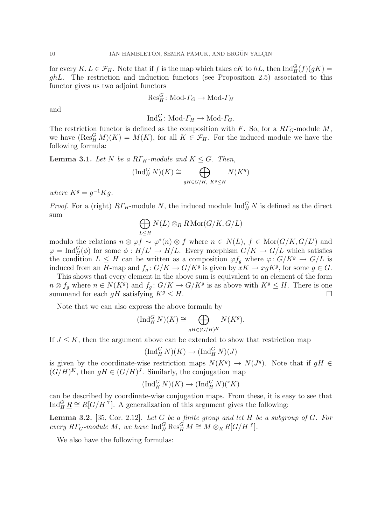for every  $K, L \in \mathcal{F}_H$ . Note that if f is the map which takes  $eK$  to  $hL$ , then  $\text{Ind}_{H}^{G}(f)(gK)$  =  $ghL$ . The restriction and induction functors (see Proposition 2.5) associated to this functor gives us two adjoint functors

$$
\mathrm{Res}^G_H\colon \mathrm{Mod}\textrm{-} \varGamma_G \to \mathrm{Mod}\textrm{-} \varGamma_H
$$

and

$$
\text{Ind}_{H}^{G} \colon \text{Mod-} \Gamma_{H} \to \text{Mod-} \Gamma_{G}.
$$

The restriction functor is defined as the composition with F. So, for a  $RT_G$ -module M, we have  $(\operatorname{Res}_H^G M)(K) = M(K)$ , for all  $K \in \mathcal{F}_H$ . For the induced module we have the following formula:

**Lemma 3.1.** Let N be a  $R\Gamma_H$ -module and  $K \leq G$ . Then,

$$
(\operatorname{Ind}_{H}^{G} N)(K) \cong \bigoplus_{gH \in G/H, K^{g} \leq H} N(K^{g})
$$

where  $K^g = g^{-1}Kg$ .

*Proof.* For a (right)  $R\Gamma_H$ -module N, the induced module  $\text{Ind}_H^G N$  is defined as the direct sum  $\overline{a}$ 

$$
\bigoplus_{L\leq H} N(L)\otimes_R R\operatorname{Mor}(G/K, G/L)
$$

modulo the relations  $n \otimes \varphi f \sim \varphi^*(n) \otimes f$  where  $n \in N(L)$ ,  $f \in \text{Mor}(G/K, G/L')$  and  $\varphi = \text{Ind}_{H}^{G}(\phi)$  for some  $\phi : H/L' \to H/L$ . Every morphism  $G/K \to G/L$  which satisfies the condition  $L \leq H$  can be written as a composition  $\varphi f_g$  where  $\varphi: G/K^g \to G/L$  is induced from an H-map and  $f_g: G/K \to G/K^g$  is given by  $xK \to xgK^g$ , for some  $g \in G$ .

This shows that every element in the above sum is equivalent to an element of the form  $n \otimes f_g$  where  $n \in N(K^g)$  and  $f_g: G/K \to G/K^g$  is as above with  $K^g \leq H$ . There is one summand for each gH satisfying  $K^g \leq H$ .

Note that we can also express the above formula by  $\overline{a}$ 

$$
(\operatorname{Ind}_{H}^{G} N)(K) \cong \bigoplus_{gH \in (G/H)^{K}} N(K^{g}).
$$

If  $J \leq K$ , then the argument above can be extended to show that restriction map

$$
(\operatorname{Ind}_H^G N)(K) \to (\operatorname{Ind}_H^G N)(J)
$$

is given by the coordinate-wise restriction maps  $N(K^g) \to N(J^g)$ . Note that if  $gH \in$  $(G/H)^K$ , then  $gH \in (G/H)^J$ . Similarly, the conjugation map

$$
(\operatorname{Ind}_H^G N)(K) \to (\operatorname{Ind}_H^G N)^{X}(K)
$$

can be described by coordinate-wise conjugation maps. From these, it is easy to see that Ind<sub>H</sub> <u>R</u>  $\cong$  R[G/H<sup> $\check{\tau}$ </sup>]. A generalization of this argument gives the following:

**Lemma 3.2.** [35, Cor. 2.12]. Let G be a finite group and let H be a subgroup of G. For every  $R\Gamma_G$ -module M, we have  $\text{Ind}_{H}^G \text{Res}_{H}^G M \cong M \otimes_R R[G/H^9].$ 

We also have the following formulas: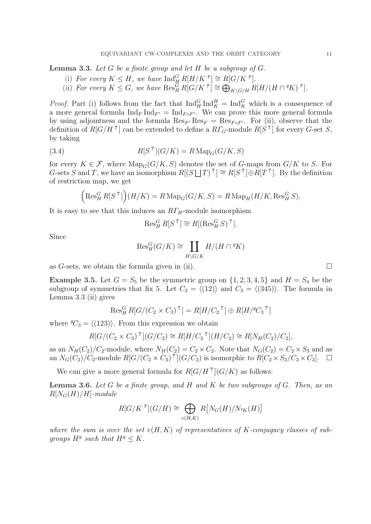**Lemma 3.3.** Let G be a finite group and let H be a subgroup of  $G$ .

- (i) For every  $K \leq H$ , we have  $\text{Ind}_{H}^{G} R[H/K^{\vartheta}] \cong R[G/K^{\vartheta}].$
- (i) For every  $K \leq G$ , we have  $\text{Reg}_H^G R[G/K^g] \cong \bigoplus$  $K\backslash G/H$   $R[H/(H\cap {}^gK)$   ${}^g$ ].

*Proof.* Part (i) follows from the fact that  $\text{Ind}_{H}^{G} \text{Ind}_{K}^{H} = \text{Ind}_{K}^{G}$  which is a consequence of a more general formula  $\text{Ind}_F \text{Ind}_{F'} = \text{Ind}_{F \circ F'}$ . We can prove this more general formula by using adjointness and the formula  $\text{Res}_{F}$   $\text{Res}_{F} = \text{Res}_{F \circ F'}$ . For (ii), observe that the definition of  $R[G/H^2]$  can be extended to define a  $R\Gamma_G$ -module  $R[S^2]$  for every G-set S, by taking

(3.4) 
$$
R[S^?](G/K) = R \operatorname{Map}_G(G/K, S)
$$

for every  $K \in \mathcal{F}$ , where  $\text{Map}_G(G/K, S)$  denotes the set of G-maps from  $G/K$  to S. For G-sets S and T, we have an isomorphism  $R[(S \cup T)^{2}] \cong R[S^{2}] \oplus R[T^{2}]$ . By the definition of restriction map, we get  $\overline{a}$ 

$$
\left(\operatorname{Res}_{H}^{G} R[S^{2}]\right)(H/K) = R \operatorname{Map}_{G}(G/K, S) = R \operatorname{Map}_{H}(H/K, \operatorname{Res}_{H}^{G} S).
$$

It is easy to see that this induces an  $R\Gamma_H$ -module isomorphism

$$
\operatorname{Res}_{H}^{G} R[S^?] \cong R[(\operatorname{Res}_{H}^{G} S)^?].
$$

Since

$$
\mathrm{Res}_{H}^{G}(G/K) \cong \coprod_{H \backslash G/K} H/(H \cap {}^{g}K)
$$

as G-sets, we obtain the formula given in (ii).  $\Box$ 

**Example 3.5.** Let  $G = S_5$  be the symmetric group on  $\{1, 2, 3, 4, 5\}$  and  $H = S_4$  be the subgroup of symmetries that fix 5. Let  $C_2 = \langle (12) \rangle$  and  $C_3 = \langle (345) \rangle$ . The formula in Lemma 3.3 (ii) gives

$$
\text{Res}_{H}^{G} R[G/(C_2 \times C_3)^{?}] = R[H/C_2^{?}] \oplus R[H/{}^{g}C_3^{?}]
$$

where  ${}^gC_3 = \langle (123) \rangle$ . From this expression we obtain

$$
R[G/(C_2 \times C_3)^?](G/C_2) \cong R[H/C_2^?](H/C_2) \cong R[N_H(C_2)/C_2],
$$

as an  $N_H(C_2)/C_2$ -module, where  $N_H(C_2) = C_2 \times C_2$ . Note that  $N_G(C_2) = C_2 \times S_3$  and as an  $N_G(C_2)/C_2$ -module  $R[G/(C_2 \times C_3)]$ <sup>?</sup>]( $G/C_2$ ) is isomorphic to  $R[C_2 \times S_3/C_2 \times C_3]$ .  $\Box$ 

We can give a more general formula for  $R[G/H^2](G/K)$  as follows:

**Lemma 3.6.** Let G be a finite group, and H and K be two subgroups of G. Then, as an  $R[N_G(H)/H]$ -module

$$
R[G/K^{\,g}](G/H) \cong \bigoplus_{v(H,K)} R[N_G(H)/N_{^gK}(H)]
$$

where the sum is over the set  $v(H, K)$  of representatives of K-conjugacy classes of subgroups  $H^g$  such that  $H^g \leq K$ .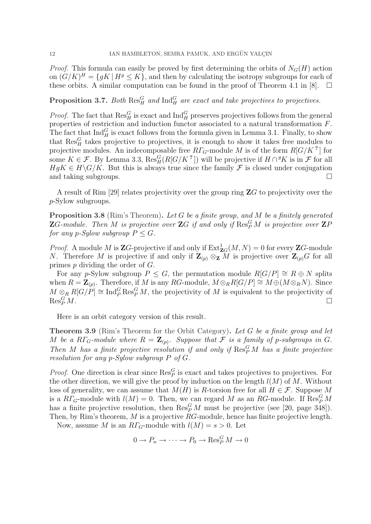*Proof.* This formula can easily be proved by first determining the orbits of  $N_G(H)$  action on  $(G/K)^H = \{gK \mid H^g \leq K\}$ , and then by calculating the isotropy subgroups for each of these orbits. A similar computation can be found in the proof of Theorem 4.1 in [8]. ¤

# **Proposition 3.7.** Both  $\text{Res}_{H}^{G}$  and  $\text{Ind}_{H}^{G}$  are exact and take projectives to projectives.

*Proof.* The fact that  $\text{Res}_{H}^{G}$  is exact and  $\text{Ind}_{H}^{G}$  preserves projectives follows from the general properties of restriction and induction functor associated to a natural transformation F. The fact that  $\text{Ind}_{H}^{G}$  is exact follows from the formula given in Lemma 3.1. Finally, to show that  $\text{Res}_{H}^{G}$  takes projective to projectives, it is enough to show it takes free modules to projective modules. An indecomposable free  $R\Gamma_G$ -module M is of the form  $R[G/K]^2$  for some  $K \in \mathcal{F}$ . By Lemma 3.3,  $\text{Res}_{H}^{G}(R[G/K]^{2})$  will be projective if  $H \cap {}^{g}K$  is in  $\mathcal{F}$  for all  $HqK \in H\backslash G/K$ . But this is always true since the family F is closed under conjugation and taking subgroups.  $\Box$ 

A result of Rim [29] relates projectivity over the group ring  $\mathbb{Z}G$  to projectivity over the p-Sylow subgroups.

**Proposition 3.8** (Rim's Theorem). Let G be a finite group, and M be a finitely generated **Z**G-module. Then M is projective over **Z**G if and only if  $\text{Res}_P^G M$  is projective over **Z**P for any p-Sylow subgroup  $P \leq G$ .

*Proof.* A module M is **Z**G-projective if and only if  $\text{Ext}^1_{\mathbf{Z}G}(M, N) = 0$  for every **Z**G-module N. Therefore M is projective if and only if  $\mathbf{Z}_{(p)} \otimes_{\mathbf{Z}} M$  is projective over  $\mathbf{Z}_{(p)}G$  for all primes p dividing the order of G.

For any p-Sylow subgroup  $P \leq G$ , the permutation module  $R[G/P] \cong R \oplus N$  splits when  $R = \mathbf{Z}_{(p)}$ . Therefore, if M is any RG-module,  $M \otimes_R R[G/P] \cong M \oplus (M \otimes_R N)$ . Since  $M \otimes_R R[G/P] \cong \text{Ind}_P^G \text{Res}_P^G M$ , the projectivity of M is equivalent to the projectivity of  $\operatorname{Res}_{P}^{G} M$ .  $\mathop{P}\limits^G M$ .

Here is an orbit category version of this result.

**Theorem 3.9** (Rim's Theorem for the Orbit Category). Let G be a finite group and let M be a RI<sub>G</sub>-module where  $R = \mathbf{Z}_{(p)}$ . Suppose that F is a family of p-subgroups in G. Then M has a finite projective resolution if and only if  $\text{Res}_{P}^{G} M$  has a finite projective resolution for any p-Sylow subgroup P of G.

*Proof.* One direction is clear since  $\text{Res}_{P}^{G}$  is exact and takes projectives to projectives. For the other direction, we will give the proof by induction on the length  $l(M)$  of M. Without loss of generality, we can assume that  $M(H)$  is R-torsion free for all  $H \in \mathcal{F}$ . Suppose M is a  $R\Gamma_G$ -module with  $l(M) = 0$ . Then, we can regard M as an RG-module. If  $\text{Res}_P^G M$ has a finite projective resolution, then  $\text{Res}_{P}^{G} M$  must be projective (see [20, page 348]). Then, by Rim's theorem, M is a projective  $RG$ -module, hence has finite projective length.

Now, assume M is an  $R\Gamma_G$ -module with  $l(M) = s > 0$ . Let

$$
0 \to P_n \to \cdots \to P_0 \to \operatorname{Res}_P^G M \to 0
$$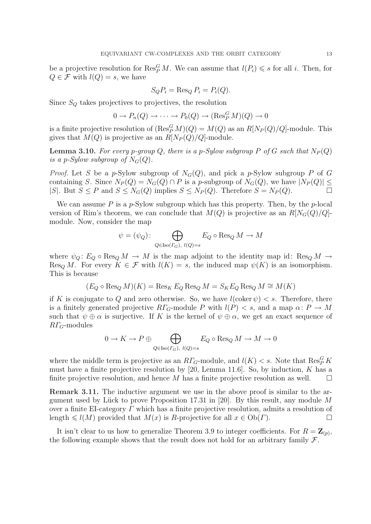be a projective resolution for  $\operatorname{Res}_P^G M$ . We can assume that  $l(P_i) \leqslant s$  for all i. Then, for  $Q \in \mathcal{F}$  with  $l(Q) = s$ , we have

$$
S_Q P_i = \text{Res}_Q P_i = P_i(Q).
$$

Since  $S_Q$  takes projectives to projectives, the resolution

$$
0 \to P_n(Q) \to \cdots \to P_0(Q) \to (\operatorname{Res}_P^G M)(Q) \to 0
$$

is a finite projective resolution of  $(\operatorname{Res}_P^G M)(Q) = M(Q)$  as an  $R[N_P(Q)/Q]$ -module. This gives that  $M(Q)$  is projective as an  $R[N_P(Q)/Q]$ -module.

**Lemma 3.10.** For every p-group Q, there is a p-Sylow subgroup P of G such that  $N_P(Q)$ is a p-Sylow subgroup of  $N_G(Q)$ .

*Proof.* Let S be a p-Sylow subgroup of  $N_G(Q)$ , and pick a p-Sylow subgroup P of G containing S. Since  $N_P(Q) = N_G(Q) \cap P$  is a p-subgroup of  $N_G(Q)$ , we have  $|N_P(Q)| \le$ |S|. But  $S \leq P$  and  $S \leq N_G(Q)$  implies  $S \leq N_P(Q)$ . Therefore  $S = N_P(Q)$ .

We can assume  $P$  is a  $p$ -Sylow subgroup which has this property. Then, by the  $p$ -local version of Rim's theorem, we can conclude that  $M(Q)$  is projective as an  $R[N_G(Q)/Q]$ module. Now, consider the map

$$
\psi = (\psi_Q) \colon \bigoplus_{Q \in \text{Iso}(\Gamma_G), \ l(Q) = s} E_Q \circ \text{Res}_Q M \to M
$$

where  $\psi_Q: E_Q \circ \text{Res}_Q M \to M$  is the map adjoint to the identity map id:  $\text{Res}_Q M \to$ Res<sub>Q</sub> M. For every  $K \in \mathcal{F}$  with  $l(K) = s$ , the induced map  $\psi(K)$  is an isomorphism. This is because

$$
(E_Q \circ \operatorname{Res}_Q M)(K) = \operatorname{Res}_K E_Q \operatorname{Res}_Q M = S_K E_Q \operatorname{Res}_Q M \cong M(K)
$$

if K is conjugate to Q and zero otherwise. So, we have  $l(\text{coker } \psi) < s$ . Therefore, there is a finitely generated projective  $R\Gamma_G$ -module P with  $l(P) < s$ , and a map  $\alpha: P \to M$ such that  $\psi \oplus \alpha$  is surjective. If K is the kernel of  $\psi \oplus \alpha$ , we get an exact sequence of  $R\Gamma_G$ -modules

$$
0 \to K \to P \oplus \bigoplus_{Q \in \text{Iso}(F_G), \ l(Q)=s} E_Q \circ \text{Res}_Q M \to M \to 0
$$

where the middle term is projective as an  $R\Gamma_G$ -module, and  $l(K) < s$ . Note that  $\operatorname{Res}_P^G K$ must have a finite projective resolution by  $[20, \text{ Lemma } 11.6]$ . So, by induction, K has a finite projective resolution, and hence M has a finite projective resolution as well.  $\Box$ 

Remark 3.11. The inductive argument we use in the above proof is similar to the argument used by Lück to prove Proposition 17.31 in [20]. By this result, any module M over a finite EI-category Γ which has a finite projective resolution, admits a resolution of length  $\leq l(M)$  provided that  $M(x)$  is R-projective for all  $x \in Ob(\Gamma)$ .

It isn't clear to us how to generalize Theorem 3.9 to integer coefficients. For  $R = \mathbf{Z}_{(p)}$ , the following example shows that the result does not hold for an arbitrary family  $\mathcal{F}$ .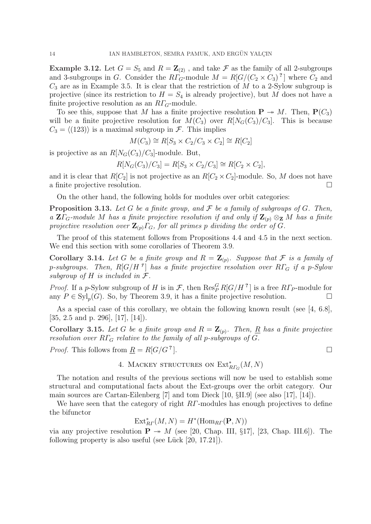**Example 3.12.** Let  $G = S_5$  and  $R = \mathbb{Z}_{(2)}$ , and take  $\mathcal F$  as the family of all 2-subgroups and 3-subgroups in G. Consider the  $R\Gamma_G$ -module  $M = R[G/(C_2 \times C_3)]$ <sup>?</sup> where  $C_2$  and  $C_3$  are as in Example 3.5. It is clear that the restriction of M to a 2-Sylow subgroup is projective (since its restriction to  $H = S_4$  is already projective), but M does not have a finite projective resolution as an  $R\Gamma_G$ -module.

To see this, suppose that M has a finite projective resolution  $P \rightarrow M$ . Then,  $P(C_3)$ will be a finite projective resolution for  $M(C_3)$  over  $R[N_G(C_3)/C_3]$ . This is because  $C_3 = \langle (123) \rangle$  is a maximal subgroup in F. This implies

 $M(C_3) \cong R[S_3 \times C_2 / C_3 \times C_2] \cong R[C_2]$ 

is projective as an  $R[N_G(C_3)/C_3]$ -module. But,

 $R[N_G(C_3)/C_3] = R[S_3 \times C_2/C_3] \cong R[C_2 \times C_2],$ 

and it is clear that  $R[C_2]$  is not projective as an  $R[C_2 \times C_2]$ -module. So, M does not have a finite projective resolution.

On the other hand, the following holds for modules over orbit categories:

**Proposition 3.13.** Let G be a finite group, and  $\mathcal F$  be a family of subgroups of G. Then, a  $\mathbf{Z}\Gamma_G$ -module M has a finite projective resolution if and only if  $\mathbf{Z}_{(p)} \otimes_{\mathbf{Z}} M$  has a finite projective resolution over  $\mathbf{Z}_{(p)}\Gamma_{G}$ , for all primes p dividing the order of G.

The proof of this statement follows from Propositions 4.4 and 4.5 in the next section. We end this section with some corollaries of Theorem 3.9.

**Corollary 3.14.** Let G be a finite group and  $R = \mathbb{Z}_{(p)}$ . Suppose that F is a family of p-subgroups. Then,  $R[G/H^2]$  has a finite projective resolution over  $R\Gamma_G$  if a p-Sylow subgroup of  $H$  is included in  $\mathcal{F}.$ 

*Proof.* If a p-Sylow subgroup of H is in F, then  $\text{Res}_P^G R[G/H^2]$  is a free  $R\Gamma_P$ -module for any  $P \in \mathrm{Syl}_p(G)$ . So, by Theorem 3.9, it has a finite projective resolution.  $\Box$ 

As a special case of this corollary, we obtain the following known result (see [4, 6.8], [35, 2.5 and p. 296], [17], [14]).

**Corollary 3.15.** Let G be a finite group and  $R = \mathbf{Z}_{(p)}$ . Then, <u>R</u> has a finite projective resolution over  $R\Gamma_G$  relative to the family of all p-subgroups of  $G$ .

*Proof.* This follows from  $R = R[G/G^?].$ 

4. MACKEY STRUCTURES ON 
$$
\operatorname{Ext}_{R\varGamma_G}^*(M,N)
$$

The notation and results of the previous sections will now be used to establish some structural and computational facts about the Ext-groups over the orbit category. Our main sources are Cartan-Eilenberg [7] and tom Dieck [10, §II.9] (see also [17], [14]).

We have seen that the category of right RΓ-modules has enough projectives to define the bifunctor

$$
\text{Ext}_{R\Gamma}^*(M,N)=H^*(\text{Hom}_{R\Gamma}(\mathbf{P},N))
$$

via any projective resolution  $P \rightarrow M$  (see [20, Chap. III, §17], [23, Chap. III.6]). The following property is also useful (see Lück  $[20, 17.21]$ ).

 $\Box$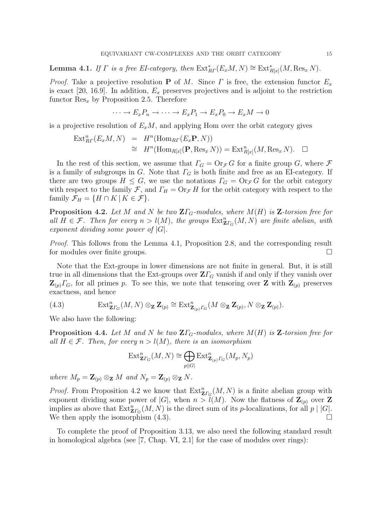**Lemma 4.1.** If  $\Gamma$  is a free EI-category, then  $\text{Ext}_{RF}^{*}(E_{x}M, N) \cong \text{Ext}_{R[x]}^{*}(M, \text{Res}_{x} N)$ .

*Proof.* Take a projective resolution **P** of M. Since  $\Gamma$  is free, the extension functor  $E_x$ is exact [20, 16.9]. In addition,  $E_x$  preserves projectives and is adjoint to the restriction functor  $\text{Res}_x$  by Proposition 2.5. Therefore

$$
\cdots \to E_x P_n \to \cdots \to E_x P_1 \to E_x P_0 \to E_x M \to 0
$$

is a projective resolution of  $E_xM$ , and applying Hom over the orbit category gives

$$
\begin{array}{rcl}\n\operatorname{Ext}_{R\varGamma}^{n}(E_{x}M,N) & = & H^{n}(\operatorname{Hom}_{R\varGamma}(E_{x}\mathbf{P},N)) \\
& \cong & H^{n}(\operatorname{Hom}_{R[x]}(\mathbf{P},\operatorname{Res}_{x}N)) = \operatorname{Ext}_{R[x]}^{n}(M,\operatorname{Res}_{x}N). \quad \Box\n\end{array}
$$

In the rest of this section, we assume that  $\Gamma_G = \text{Or}_{\mathcal{F}} G$  for a finite group G, where  $\mathcal F$ is a family of subgroups in G. Note that  $\Gamma_G$  is both finite and free as an EI-category. If there are two groups  $H \leq G$ , we use the notations  $\Gamma_G = \text{Or}_{\mathcal{F}} G$  for the orbit category with respect to the family F, and  $\Gamma_H = \text{Or}_{\mathcal{F}} H$  for the orbit category with respect to the family  $\mathcal{F}_H = \{H \cap K \mid K \in \mathcal{F}\}.$ 

**Proposition 4.2.** Let M and N be two  $\mathbf{Z}\Gamma_G$ -modules, where  $M(H)$  is  $\mathbf{Z}$ -torsion free for all  $H \in \mathcal{F}$ . Then for every  $n > l(M)$ , the groups  $\text{Ext}^n_{\mathbf{Z}\Gamma_G}(M,N)$  are finite abelian, with exponent dividing some power of  $|G|$ .

Proof. This follows from the Lemma 4.1, Proposition 2.8, and the corresponding result for modules over finite groups.  $\Box$ 

Note that the Ext-groups in lower dimensions are not finite in general. But, it is still true in all dimensions that the Ext-groups over  $\mathbf{Z}\Gamma_G$  vanish if and only if they vanish over  $\mathbf{Z}_{(p)}\Gamma_{G}$ , for all primes p. To see this, we note that tensoring over Z with  $\mathbf{Z}_{(p)}$  preserves exactness, and hence

(4.3) 
$$
\operatorname{Ext}^n_{\mathbf{Z}\Gamma_G}(M,N)\otimes_{\mathbf{Z}}\mathbf{Z}_{(p)}\cong \operatorname{Ext}^n_{\mathbf{Z}_{(p)}\Gamma_G}(M\otimes_{\mathbf{Z}}\mathbf{Z}_{(p)},N\otimes_{\mathbf{Z}}\mathbf{Z}_{(p)}).
$$

We also have the following:

**Proposition 4.4.** Let M and N be two  $\mathbf{Z}\Gamma_G$ -modules, where  $M(H)$  is  $\mathbf{Z}$ -torsion free for all  $H \in \mathcal{F}$ . Then, for every  $n > l(M)$ , there is an isomorphism

$$
\operatorname{Ext}^n_{\mathbf{Z}\Gamma_G}(M,N)\cong \bigoplus_{p||G|}\operatorname{Ext}^n_{\mathbf{Z}_{(p)}\Gamma_G}(M_p,N_p)
$$

where  $M_p = \mathbf{Z}_{(p)} \otimes_{\mathbf{Z}} M$  and  $N_p = \mathbf{Z}_{(p)} \otimes_{\mathbf{Z}} N$ .

*Proof.* From Proposition 4.2 we know that  $\text{Ext}^n_{\mathbf{Z}\Gamma_G}(M,N)$  is a finite abelian group with exponent dividing some power of  $|G|$ , when  $n > l(M)$ . Now the flatness of  $\mathbb{Z}_{(p)}$  over Z implies as above that  $\text{Ext}^n_{\mathbf{Z}\Gamma_G}(M,N)$  is the direct sum of its p-localizations, for all  $p \mid |G|$ . We then apply the isomorphism  $(4.3)$ .

To complete the proof of Proposition 3.13, we also need the following standard result in homological algebra (see [7, Chap. VI, 2.1] for the case of modules over rings):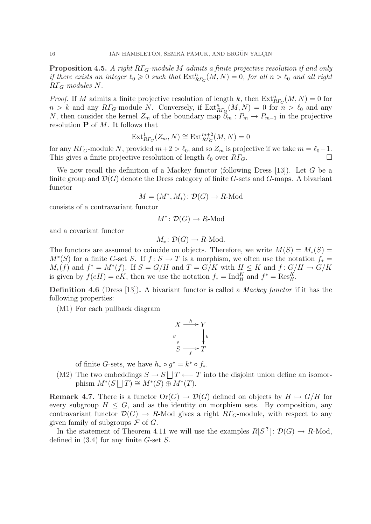**Proposition 4.5.** A right  $R\Gamma_G$ -module M admits a finite projective resolution if and only if there exists an integer  $\ell_0 \geqslant 0$  such that  $\operatorname{Ext}_{R\Gamma_G}^n(M,N) = 0$ , for all  $n > \ell_0$  and all right  $R\Gamma$ <sub>G</sub>-modules N.

*Proof.* If M admits a finite projective resolution of length k, then  $\text{Ext}_{R\Gamma_G}^n(M, N) = 0$  for  $n > k$  and any  $R\Gamma_G$ -module N. Conversely, if  $\text{Ext}_{R\Gamma_G}^n(M,N) = 0$  for  $n > l_0$  and any N, then consider the kernel  $Z_m$  of the boundary map  $\partial_m : P_m \to P_{m-1}$  in the projective resolution  $P$  of M. It follows that

$$
\operatorname{Ext}^1_{R\varGamma_G}(Z_m,N)\cong \operatorname{Ext}^{m+2}_{R\varGamma_G}(M,N)=0
$$

for any  $R\Gamma_G$ -module N, provided  $m+2 > \ell_0$ , and so  $Z_m$  is projective if we take  $m = \ell_0 - 1$ . This gives a finite projective resolution of length  $\ell_0$  over  $R\Gamma_G$ .

We now recall the definition of a Mackey functor (following Dress  $[13]$ ). Let G be a finite group and  $\mathcal{D}(G)$  denote the Dress category of finite G-sets and G-maps. A bivariant functor

$$
M = (M^*, M_*) \colon \mathcal{D}(G) \to R\text{-Mod}
$$

consists of a contravariant functor

$$
M^* \colon \mathcal{D}(G) \to R\text{-Mod}
$$

and a covariant functor

$$
M_*\colon \mathcal{D}(G)\to R\text{-Mod}.
$$

The functors are assumed to coincide on objects. Therefore, we write  $M(S) = M_*(S) =$  $M^*(S)$  for a finite G-set S. If  $f: S \to T$  is a morphism, we often use the notation  $f_* =$  $M_*(f)$  and  $f^* = M^*(f)$ . If  $S = G/H$  and  $T = G/K$  with  $H \leq K$  and  $f: G/H \to G/K$ is given by  $f(eH) = eK$ , then we use the notation  $f_* = Ind_H^K$  and  $f^* = Res_H^K$ .

**Definition 4.6** (Dress [13]). A bivariant functor is called a *Mackey functor* if it has the following properties:

(M1) For each pullback diagram

$$
X \xrightarrow{h} Y
$$
  
\n
$$
g \downarrow \qquad \qquad \downarrow k
$$
  
\n
$$
S \xrightarrow{f} T
$$

of finite G-sets, we have  $h_* \circ g^* = k^* \circ f_*$ .  $\frac{9}{1}$ 

(M2) The two embeddings  $S \to S$ eddings  $S \to S \sqcup T \longleftarrow T$  into the disjoint union define an isomorphism  $M^*(S \sqcup T) \cong M^*(S) \oplus M^*(T)$ .

**Remark 4.7.** There is a functor  $Or(G) \rightarrow \mathcal{D}(G)$  defined on objects by  $H \mapsto G/H$  for every subgroup  $H \leq G$ , and as the identity on morphism sets. By composition, any contravariant functor  $\mathcal{D}(G) \to R$ -Mod gives a right  $R\Gamma_G$ -module, with respect to any given family of subgroups  $\mathcal F$  of  $G$ .

In the statement of Theorem 4.11 we will use the examples  $R[S^?]: \mathcal{D}(G) \to R\text{-Mod}$ , defined in  $(3.4)$  for any finite G-set S.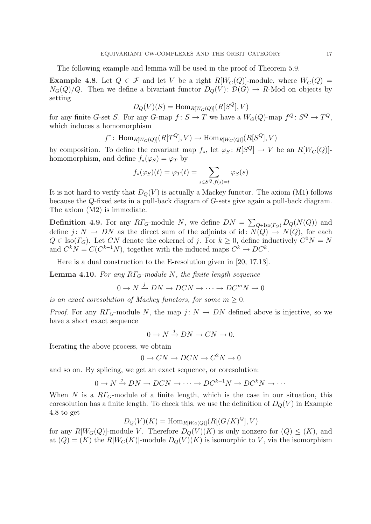The following example and lemma will be used in the proof of Theorem 5.9.

**Example 4.8.** Let  $Q \in \mathcal{F}$  and let V be a right  $R[W_G(Q)]$ -module, where  $W_G(Q)$  =  $N_G(Q)/Q$ . Then we define a bivariant functor  $D_Q(V)$ :  $\mathcal{D}(G) \to R$ -Mod on objects by setting

$$
D_Q(V)(S) = \text{Hom}_{R[W_G(Q)]}(R[S^Q], V)
$$

for any finite G-set S. For any G-map  $f: S \to T$  we have a  $W_G(Q)$ -map  $f^Q: S^Q \to T^Q$ , which induces a homomorphism

$$
f^* \colon \operatorname{Hom}_{R[W_G(Q)]}(R[T^Q], V) \to \operatorname{Hom}_{R[W_G(Q)]}(R[S^Q], V)
$$

by composition. To define the covariant map  $f_*$ , let  $\varphi_S: R[S^Q] \to V$  be an  $R[W_G(Q)]$ homomorphism, and define  $f_*(\varphi_S) = \varphi_T$  by

$$
f_*(\varphi_S)(t) = \varphi_T(t) = \sum_{s \in S^Q, f(s) = t} \varphi_S(s)
$$

It is not hard to verify that  $D_Q(V)$  is actually a Mackey functor. The axiom (M1) follows because the Q-fixed sets in a pull-back diagram of G-sets give again a pull-back diagram. The axiom (M2) is immediate.

**Definition 4.9.** For any  $R\Gamma_G$ -module N, we define  $DN =$  $\overline{ }$  $_{Q\in \text{Iso}(\Gamma_G)} D_Q(N(Q))$  and define  $j: N \to DN$  as the direct sum of the adjoints of id:  $N(Q) \to N(Q)$ , for each  $Q \in \text{Iso}(\Gamma_G)$ . Let CN denote the cokernel of j. For  $k \geq 0$ , define inductively  $C^0N = N$ and  $C^k N = C(C^{k-1} N)$ , together with the induced maps  $C^k \to D C^k$ .

Here is a dual construction to the E-resolution given in [20, 17.13].

**Lemma 4.10.** For any  $R\Gamma$ <sub>G</sub>-module N, the finite length sequence

 $0 \to N \xrightarrow{j} DN \to DCN \to \cdots \to DC^mN \to 0$ 

is an exact coresolution of Mackey functors, for some  $m > 0$ .

*Proof.* For any  $R\Gamma_G$ -module N, the map  $j: N \to DN$  defined above is injective, so we have a short exact sequence

$$
0\to N\xrightarrow{j} DN\to CN\to 0.
$$

Iterating the above process, we obtain

$$
0 \to CN \to DCN \to C^2N \to 0
$$

and so on. By splicing, we get an exact sequence, or coresolution:

$$
0 \to N \xrightarrow{j} DN \to DCN \to \cdots \to DC^{k-1}N \to DC^kN \to \cdots
$$

When N is a  $R\Gamma$ <sub>G</sub>-module of a finite length, which is the case in our situation, this coresolution has a finite length. To check this, we use the definition of  $D_Q(V)$  in Example 4.8 to get

$$
D_Q(V)(K) = \text{Hom}_{R[W_G(Q)]}(R[(G/K)^Q], V)
$$

for any  $R[W_G(Q)]$ -module V. Therefore  $D_Q(V)(K)$  is only nonzero for  $(Q) \leq (K)$ , and at  $(Q) = (K)$  the  $R[W_G(K)]$ -module  $D_Q(V)(K)$  is isomorphic to V, via the isomorphism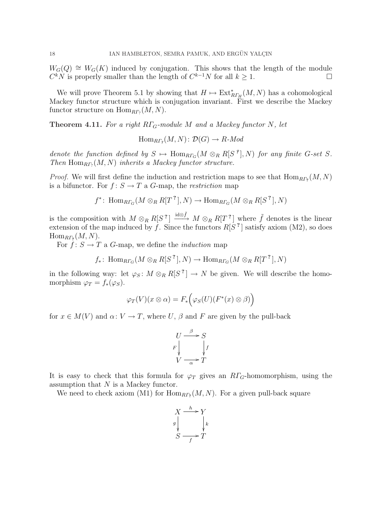$W_G(Q) \cong W_G(K)$  induced by conjugation. This shows that the length of the module  $C^k N$  is properly smaller than the length of  $C^{k-1} N$  for all  $k \geq 1$ .

We will prove Theorem 5.1 by showing that  $H \mapsto \text{Ext}_{R\Gamma_H}^*(M,N)$  has a cohomological Mackey functor structure which is conjugation invariant. First we describe the Mackey functor structure on  $\text{Hom}_{\text{R}\Gamma_?}(M,N)$ .

**Theorem 4.11.** For a right  $R\Gamma$ <sub>G</sub>-module M and a Mackey functor N, let

 $\text{Hom}_{R\Gamma_{\mathcal{P}}}(M,N)\colon \mathcal{D}(G)\to R\text{-}Mod$ 

denote the function defined by  $S \mapsto \text{Hom}_{R\Gamma_G}(M \otimes_R R[S^{\epsilon}], N)$  for any finite G-set S. Then  $\text{Hom}_{RP_?}(M, N)$  inherits a Mackey functor structure.

*Proof.* We will first define the induction and restriction maps to see that  $\text{Hom}_{RP_2}(M, N)$ is a bifunctor. For  $f: S \to T$  a G-map, the *restriction* map

$$
f^*
$$
: Hom<sub>RTG</sub> $(M \otimes_R R[T^2], N) \to \text{Hom}_{RT_G}(M \otimes_R R[S^2], N)$ 

is the composition with  $M \otimes_R R[S^2] \stackrel{\text{id} \otimes \tilde{f}}{\longrightarrow} M \otimes_R R[T^2]$  where  $\tilde{f}$  denotes is the linear extension of the map induced by f. Since the functors  $R[S^2]$  satisfy axiom (M2), so does  $\text{Hom}_{R\Gamma_7}(M,N).$ 

For  $f: S \to T$  a G-map, we define the *induction* map

$$
f_*\colon \operatorname{Hom}_{R\Gamma_G}(M\otimes_R R[S^?], N)\to \operatorname{Hom}_{R\Gamma_G}(M\otimes_R R[T^?], N)
$$

in the following way: let  $\varphi_S \colon M \otimes_R R[S^2] \to N$  be given. We will describe the homomorphism  $\varphi_T = f_*(\varphi_S)$ .

$$
\varphi_T(V)(x \otimes \alpha) = F_*\Big(\varphi_S(U)(F^*(x) \otimes \beta)\Big)
$$

for  $x \in M(V)$  and  $\alpha: V \to T$ , where U,  $\beta$  and F are given by the pull-back

$$
U \xrightarrow{\beta} S
$$
  
\n
$$
F \downarrow \qquad \qquad \downarrow f
$$
  
\n
$$
V \xrightarrow{\alpha} T
$$

It is easy to check that this formula for  $\varphi_T$  gives an  $R\Gamma_G$ -homomorphism, using the assumption that N is a Mackey functor.

We need to check axiom (M1) for  $\text{Hom}_{RT_7}(M,N)$ . For a given pull-back square

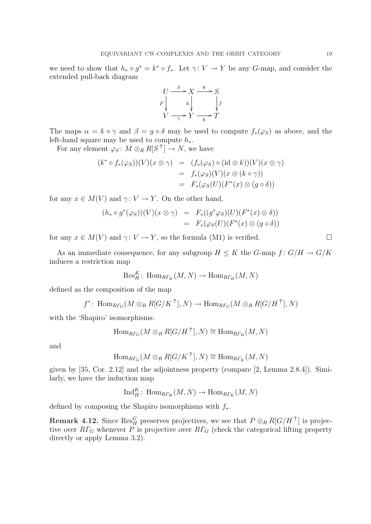we need to show that  $h_* \circ g^* = k^* \circ f_*$ . Let  $\gamma: V \to Y$  be any G-map, and consider the extended pull-back diagram



The maps  $\alpha = k \circ \gamma$  and  $\beta = g \circ \delta$  may be used to compute  $f_*(\varphi_S)$  as above, and the left-hand square may be used to compute  $h_*$ .

For any element  $\varphi_S \colon M \otimes_R R[S^?] \to N$ , we have

$$
(k^* \circ f_*(\varphi_S))(V)(x \otimes \gamma) = (f_*(\varphi_S) \circ (\mathrm{id} \otimes k))(V)(x \otimes \gamma)
$$
  
=  $f_*(\varphi_S)(V)(x \otimes (k \circ \gamma))$   
=  $F_*(\varphi_S(U)(F^*(x) \otimes (g \circ \delta))$ 

for any  $x \in M(V)$  and  $\gamma: V \to Y$ . On the other hand,

$$
(h_* \circ g^*(\varphi_S))(V)(x \otimes \gamma) = F_*((g^*\varphi_S)(U)(F^*(x) \otimes \delta))
$$
  
=  $F_*(\varphi_S(U)(F^*(x) \otimes (g \circ \delta)))$ 

for any  $x \in M(V)$  and  $\gamma: V \to Y$ , so the formula (M1) is verified.  $\Box$ 

As an immediate consequence, for any subgroup  $H \leq K$  the G-map  $f: G/H \to G/K$ induces a restriction map

$$
\text{Res}^K_H\colon \operatorname{Hom}_{R\Gamma_K}(M,N)\to \operatorname{Hom}_{R\Gamma_H}(M,N)
$$

defined as the composition of the map

$$
f^* \colon \operatorname{Hom}_{R\Gamma_G}(M \otimes_R R[G/K^?], N) \to \operatorname{Hom}_{R\Gamma_G}(M \otimes_R R[G/H^?], N)
$$

with the 'Shapiro' isomorphisms:

$$
\operatorname{Hom}_{R\Gamma_G}(M\otimes_RR[G/H^?],N)\cong \operatorname{Hom}_{R\Gamma_H}(M,N)
$$

and

$$
\operatorname{Hom}_{R\Gamma_G}(M\otimes_R R[G/K^?], N)\cong \operatorname{Hom}_{R\Gamma_K}(M, N)
$$

given by [35, Cor. 2.12] and the adjointness property (compare [2, Lemma 2.8.4]). Similarly, we have the induction map

$$
\text{Ind}_{H}^{K} \colon \text{Hom}_{R\Gamma_{H}}(M, N) \to \text{Hom}_{R\Gamma_{K}}(M, N)
$$

defined by composing the Shapiro isomorphisms with  $f_*$ .

**Remark 4.12.** Since  $\text{Res}_{H}^{G}$  preserves projectives, we see that  $P \otimes_{R} R[G/H]$  is projective over  $R\Gamma_G$  whenever P is projective over  $R\Gamma_G$  (check the categorical lifting property directly or apply Lemma 3.2).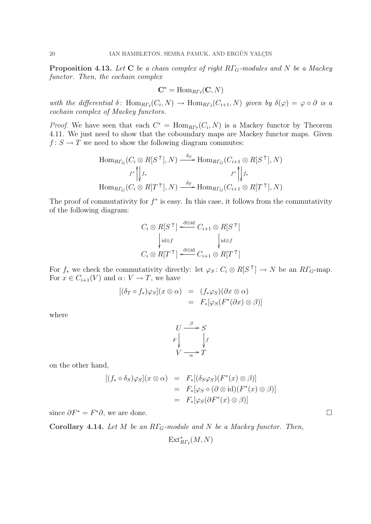**Proposition 4.13.** Let C be a chain complex of right  $R\Gamma_G$ -modules and N be a Mackey functor. Then, the cochain complex

$$
\mathbf{C}^* = \mathrm{Hom}_{\mathit{R}\varGamma_\varrho}(\mathbf{C},\mathit{N})
$$

with the differential  $\delta$ : Hom $_{RT}$ , $(C_i, N) \to \text{Hom}_{RT}$ , $(C_{i+1}, N)$  given by  $\delta(\varphi) = \varphi \circ \partial$  is a cochain complex of Mackey functors.

*Proof.* We have seen that each  $C^i = \text{Hom}_{R\Gamma_7}(C_i, N)$  is a Mackey functor by Theorem 4.11. We just need to show that the coboundary maps are Mackey functor maps. Given  $f: S \to T$  we need to show the following diagram commutes:

$$
\operatorname{Hom}_{R\Gamma_G}(C_i \otimes R[S^?], N) \xrightarrow{\delta_S} \operatorname{Hom}_{R\Gamma_G}(C_{i+1} \otimes R[S^?], N)
$$
\n
$$
\uparrow^* \parallel_{f^*} f^* \qquad \qquad f^* \parallel_{f^*} f^* \qquad \qquad f^* \parallel_{f^*} f^* \qquad \qquad f^* \parallel_{f^*} f^* \qquad \text{Hom}_{R\Gamma_G}(C_i \otimes R[T^?], N)
$$

The proof of commutativity for  $f^*$  is easy. In this case, it follows from the commutativity of the following diagram:

$$
C_i \otimes R[S^?] \xleftarrow{\partial \otimes id} C_{i+1} \otimes R[S^?]
$$

$$
\begin{cases} \operatorname{id} \otimes f & \text{if } i \otimes f \\ \operatorname{id} \otimes f & \text{if } i \otimes f \end{cases}
$$

$$
C_i \otimes R[T^?] \xleftarrow{\partial \otimes id} C_{i+1} \otimes R[T^?]
$$

For  $f_*$  we check the commutativity directly: let  $\varphi_S : C_i \otimes R[S^2] \to N$  be an  $R\Gamma_G$ -map. For  $x \in C_{i+1}(V)$  and  $\alpha: V \to T$ , we have

$$
[(\delta_T \circ f_*)\varphi_S](x \otimes \alpha) = (f_*\varphi_S)(\partial x \otimes \alpha)
$$
  
=  $F_*[\varphi_S(F^*(\partial x) \otimes \beta)]$ 

where

$$
U \xrightarrow{\beta} S
$$
  
\n
$$
F \downarrow \qquad \qquad \downarrow f
$$
  
\n
$$
V \xrightarrow{\alpha} T
$$

on the other hand,

$$
[(f_* \circ \delta_S)\varphi_S](x \otimes \alpha) = F_*[(\delta_S \varphi_S)(F^*(x) \otimes \beta)]
$$
  
=  $F_*[\varphi_S \circ (\partial \otimes id)(F^*(x) \otimes \beta)]$   
=  $F_*[\varphi_S(\partial F^*(x) \otimes \beta)]$ 

since  $\partial F^* = F^* \partial$ , we are done.

Corollary 4.14. Let M be an  $R\Gamma_G$ -module and N be a Mackey functor. Then,

$$
\operatorname{Ext}_{R\varGamma_{\mathbf{P}}}^*(M,N)
$$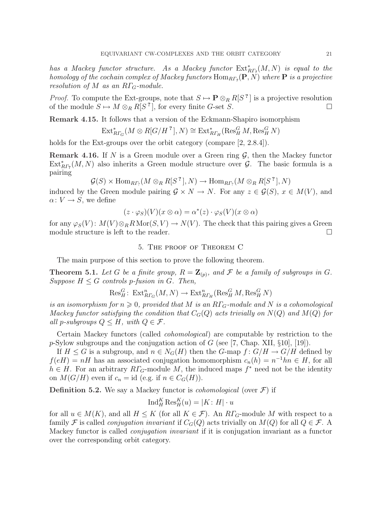has a Mackey functor structure. As a Mackey functor  $\operatorname{Ext}_{R\varGamma_{2}}^{*}(M,N)$  is equal to the homology of the cochain complex of Mackey functors  $\mathrm{Hom}_{R\Gamma_p}(\mathbf{P},N)$  where  $\mathbf P$  is a projective resolution of M as an  $R\Gamma_{G}$ -module.

*Proof.* To compute the Ext-groups, note that  $S \mapsto \mathbf{P} \otimes_R R[S^2]$  is a projective resolution of the module  $S \mapsto M \otimes_R R[S^2]$ , for every finite G-set S.

Remark 4.15. It follows that a version of the Eckmann-Shapiro isomorphism

$$
\mathrm{Ext}_{R\varGamma_{G}}^{*}(M\otimes R[G/H^{\cdot 2}],N)\cong \mathrm{Ext}_{R\varGamma_{H}}^{*}(\mathrm{Res}_{H}^{G}M,\mathrm{Res}_{H}^{G}N)
$$

holds for the Ext-groups over the orbit category (compare [2, 2.8.4]).

**Remark 4.16.** If N is a Green module over a Green ring  $\mathcal{G}$ , then the Mackey functor  $\text{Ext}_{R\Gamma_7}^*(M,N)$  also inherits a Green module structure over  $\mathcal{G}$ . The basic formula is a pairing

$$
\mathcal{G}(S) \times \text{Hom}_{RF_?}(M \otimes_R R[S^?], N) \to \text{Hom}_{RF_?}(M \otimes_R R[S^?], N)
$$

induced by the Green module pairing  $\mathcal{G} \times N \to N$ . For any  $z \in \mathcal{G}(S)$ ,  $x \in M(V)$ , and  $\alpha: V \to S$ , we define

$$
(z \cdot \varphi_S)(V)(x \otimes \alpha) = \alpha^*(z) \cdot \varphi_S(V)(x \otimes \alpha)
$$

for any  $\varphi_S(V)$ :  $M(V) \otimes_R R \text{Mor}(S, V) \to N(V)$ . The check that this pairing gives a Green module structure is left to the reader.  $\Box$ 

### 5. The proof of Theorem C

The main purpose of this section to prove the following theorem.

**Theorem 5.1.** Let G be a finite group,  $R = \mathbb{Z}_{(p)}$ , and F be a family of subgroups in G. Suppose  $H \leq G$  controls p-fusion in G. Then,

$$
\text{Res}_{H}^{G} \colon \operatorname{Ext}^n_{R\Gamma_G}(M,N) \to \operatorname{Ext}^n_{R\Gamma_H}(\operatorname{Res}^G_H M, \operatorname{Res}^G_H N)
$$

is an isomorphism for  $n \geq 0$ , provided that M is an  $R\Gamma_G$ -module and N is a cohomological Mackey functor satisfying the condition that  $C_G(Q)$  acts trivially on  $N(Q)$  and  $M(Q)$  for all p-subgroups  $Q \leq H$ , with  $Q \in \mathcal{F}$ .

Certain Mackey functors (called cohomological) are computable by restriction to the p-Sylow subgroups and the conjugation action of  $G$  (see [7, Chap. XII, §10], [19]).

If  $H \leq G$  is a subgroup, and  $n \in N_G(H)$  then the G-map  $f: G/H \to G/H$  defined by  $f(eH) = nH$  has an associated conjugation homomorphism  $c_n(h) = n^{-1}hn \in H$ , for all  $h \in H$ . For an arbitrary  $R\Gamma_G$ -module M, the induced maps  $f^*$  need not be the identity on  $M(G/H)$  even if  $c_n = id$  (e.g. if  $n \in C_G(H)$ ).

**Definition 5.2.** We say a Mackey functor is *cohomological* (over  $\mathcal{F}$ ) if

$$
\mathrm{Ind}_{H}^{K}\mathrm{Res}_{H}^{K}(u)=\left|K\colon H\right|\cdot u
$$

for all  $u \in M(K)$ , and all  $H \leq K$  (for all  $K \in \mathcal{F}$ ). An  $R\Gamma_G$ -module M with respect to a family F is called *conjugation invariant* if  $C_G(Q)$  acts trivially on  $M(Q)$  for all  $Q \in \mathcal{F}$ . A Mackey functor is called conjugation invariant if it is conjugation invariant as a functor over the corresponding orbit category.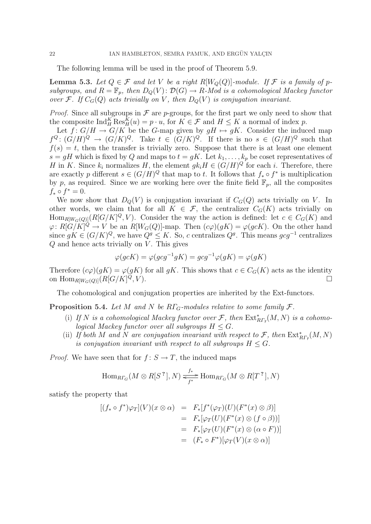The following lemma will be used in the proof of Theorem 5.9.

**Lemma 5.3.** Let  $Q \in \mathcal{F}$  and let V be a right  $R[W_Q(Q)]$ -module. If  $\mathcal{F}$  is a family of psubgroups, and  $R = \mathbb{F}_p$ , then  $D_Q(V)$ :  $\mathcal{D}(G) \to R$ -Mod is a cohomological Mackey functor over F. If  $C_G(Q)$  acts trivially on V, then  $D_Q(V)$  is conjugation invariant.

*Proof.* Since all subgroups in  $\mathcal F$  are p-groups, for the first part we only need to show that the composite  $\text{Ind}_{H}^{K} \text{Res}_{H}^{K}(u) = p \cdot u$ , for  $K \in \mathcal{F}$  and  $H \leq K$  a normal of index p.

Let  $f: G/H \to G/K$  be the G-map given by  $gH \mapsto gK$ . Consider the induced map  $f^{Q}: (G/H)^{Q} \to (G/K)^{Q}$ . Take  $t \in (G/K)^{Q}$ . If there is no  $s \in (G/H)^{Q}$  such that  $f(s) = t$ , then the transfer is trivially zero. Suppose that there is at least one element  $s = gH$  which is fixed by Q and maps to  $t = gK$ . Let  $k_1, \ldots, k_p$  be coset representatives of H in K. Since  $k_i$  normalizes H, the element  $g k_i H \in (G/H)^Q$  for each i. Therefore, there are exactly p different  $s \in (G/H)^Q$  that map to t. It follows that  $f_* \circ f^*$  is multiplication by p, as required. Since we are working here over the finite field  $\mathbb{F}_p$ , all the composites  $f_* \circ f^* = 0.$ 

We now show that  $D_Q(V)$  is conjugation invariant if  $C_G(Q)$  acts trivially on V. In other words, we claim that for all  $K \in \mathcal{F}$ , the centralizer  $C_G(K)$  acts trivially on  $\text{Hom}_{R|W_G(Q)|}(R[G/K]^Q, V)$ . Consider the way the action is defined: let  $c \in C_G(K)$  and  $\varphi: R[G/K]^{\tilde{Q}} \to V$  be an  $R[W_G(Q)]$ -map. Then  $(c\varphi)(gK) = \varphi(gcK)$ . On the other hand since  $gK \in (G/K)^Q$ , we have  $Q^g \leq K$ . So, c centralizes  $Q^g$ . This means  $gcg^{-1}$  centralizes  $Q$  and hence acts trivially on  $V$ . This gives

$$
\varphi(gcK) = \varphi(gcg^{-1}gK) = gcg^{-1}\varphi(gK) = \varphi(gK)
$$

Therefore  $(c\varphi)(gK) = \varphi(gK)$  for all  $gK$ . This shows that  $c \in C_G(K)$  acts as the identity on  $\text{Hom}_{R[W_G(Q)]}(R[G/K]^Q, V)$ .  $Q, V$ ).

The cohomological and conjugation properties are inherited by the Ext-functors.

**Proposition 5.4.** Let M and N be  $R\Gamma$ <sub>G</sub>-modules relative to some family  $\mathcal{F}$ .

- (i) If N is a cohomological Mackey functor over  $\mathcal{F}$ , then  $\text{Ext}_{R\Gamma_{?}}^{*}(M, N)$  is a cohomological Mackey functor over all subgroups  $H \leq G$ .
- (ii) If both M and N are conjugation invariant with respect to F, then  $\text{Ext}_{R\Gamma_{?}}^{*}(M, N)$ is conjugation invariant with respect to all subgroups  $H \leq G$ .

*Proof.* We have seen that for  $f: S \to T$ , the induced maps

$$
\mathrm{Hom}_{R\Gamma_G}(M\otimes R[S^?],N)\xrightarrow[\mathscr{F}^*]{f^*}\mathrm{Hom}_{R\Gamma_G}(M\otimes R[T^?],N)
$$

satisfy the property that

$$
[(f_* \circ f^*)\varphi_T](V)(x \otimes \alpha) = F_*[f^*(\varphi_T)(U)(F^*(x) \otimes \beta)]
$$
  
\n
$$
= F_*[\varphi_T(U)(F^*(x) \otimes (f \circ \beta))]
$$
  
\n
$$
= F_*[\varphi_T(U)(F^*(x) \otimes (\alpha \circ F))]
$$
  
\n
$$
= (F_* \circ F^*)[\varphi_T(V)(x \otimes \alpha)]
$$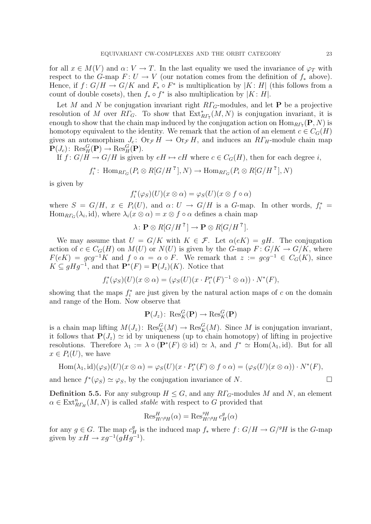for all  $x \in M(V)$  and  $\alpha: V \to T$ . In the last equality we used the invariance of  $\varphi_T$  with respect to the G-map  $F: U \to V$  (our notation comes from the definition of  $f_*$  above). Hence, if  $f: G/H \to G/K$  and  $F_* \circ F^*$  is multiplication by  $|K: H|$  (this follows from a count of double cosets), then  $f_* \circ f^*$  is also multiplication by  $|K : H|$ .

Let M and N be conjugation invariant right  $RT_G$ -modules, and let **P** be a projective resolution of M over  $R\Gamma_G$ . To show that  $\operatorname{Ext}_{R\Gamma_7}^*(M,N)$  is conjugation invariant, it is enough to show that the chain map induced by the conjugation action on  $\text{Hom}_{RP_7}(\mathbf{P}, N)$  is homotopy equivalent to the identity. We remark that the action of an element  $c \in C<sub>G</sub>(H)$ gives an automorphism  $J_c$ :  $\text{Or}_{\mathcal{F}} H \rightarrow \text{Or}_{\mathcal{F}} H$ , and induces an  $R\Gamma_H$ -module chain map  $\mathbf{P}(J_c)$ : Res $_H^G(\mathbf{P}) \to \text{Res}_H^G(\mathbf{P})$ .

If  $f: G/H \to G/H$  is given by  $eH \mapsto cH$  where  $c \in C_G(H)$ , then for each degree i,

$$
f_i^* \colon \operatorname{Hom}_{R\Gamma_G}(P_i \otimes R[G/H^?], N) \to \operatorname{Hom}_{R\Gamma_G}(P_i \otimes R[G/H^?], N)
$$

is given by

$$
f_i^*(\varphi_S)(U)(x \otimes \alpha) = \varphi_S(U)(x \otimes f \circ \alpha)
$$

where  $S = G/H$ ,  $x \in P_i(U)$ , and  $\alpha: U \to G/H$  is a G-map. In other words,  $f_i^* =$  $\text{Hom}_{R\Gamma_G}(\lambda_i, \text{id})$ , where  $\lambda_i(x \otimes \alpha) = x \otimes f \circ \alpha$  defines a chain map

$$
\lambda\colon \mathbf{P}\otimes R[G/H^?]\to \mathbf{P}\otimes R[G/H^?].
$$

We may assume that  $U = G/K$  with  $K \in \mathcal{F}$ . Let  $\alpha(eK) = qH$ . The conjugation action of  $c \in C_G(H)$  on  $M(U)$  or  $N(U)$  is given by the G-map  $F: G/K \to G/K$ , where  $F(eK) = gcg^{-1}K$  and  $f \circ \alpha = \alpha \circ F$ . We remark that  $z := gcg^{-1} \in C_G(K)$ , since  $K \subseteq gHg^{-1}$ , and that  $\mathbf{P}^*(F) = \mathbf{P}(J_z)(K)$ . Notice that

$$
f_i^*(\varphi_S)(U)(x \otimes \alpha) = (\varphi_S(U)(x \cdot P_i^*(F)^{-1} \otimes \alpha)) \cdot N^*(F),
$$

showing that the maps  $f_i^*$  are just given by the natural action maps of c on the domain and range of the Hom. Now observe that

$$
\mathbf{P}(J_z): \operatorname{Res}^G_K(\mathbf{P}) \to \operatorname{Res}^G_K(\mathbf{P})
$$

is a chain map lifting  $M(J_z)$ :  $\text{Res}_K^G(M) \to \text{Res}_K^G(M)$ . Since M is conjugation invariant, it follows that  $P(J_z) \simeq id$  by uniqueness (up to chain homotopy) of lifting in projective resolutions. Therefore  $\lambda_1 := \lambda \circ (\mathbf{P}^*(F) \otimes id) \simeq \lambda$ , and  $f^* \simeq \text{Hom}(\lambda_1, id)$ . But for all  $x \in P_i(U)$ , we have

$$
\text{Hom}(\lambda_1, \text{id})(\varphi_S)(U)(x \otimes \alpha) = \varphi_S(U)(x \cdot P_i^*(F) \otimes f \circ \alpha) = (\varphi_S(U)(x \otimes \alpha)) \cdot N^*(F),
$$

and hence  $f^*(\varphi_S) \simeq \varphi_S$ , by the conjugation invariance of N.

**Definition 5.5.** For any subgroup  $H \leq G$ , and any  $R\Gamma_G$ -modules M and N, an element  $\alpha \in \text{Ext}_{R\Gamma_H}^n(M,N)$  is called *stable* with respect to G provided that

$$
\operatorname{Res}_{H\cap^{g}H}^{H}(\alpha) = \operatorname{Res}_{H\cap^{g}H}^{g} c_H^g(\alpha)
$$

for any  $g \in G$ . The map  $c_H^g$  is the induced map  $f_*$  where  $f: G/H \to G/{}^gH$  is the G-map given by  $xH \to xg^{-1}(gHg^{-1}).$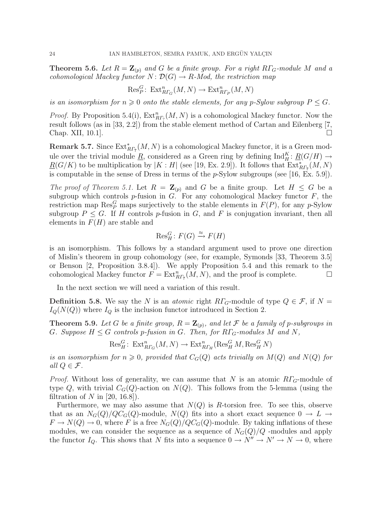**Theorem 5.6.** Let  $R = \mathbb{Z}_{(p)}$  and G be a finite group. For a right  $R\Gamma_G$ -module M and a cohomological Mackey functor  $N: \mathcal{D}(G) \to R$ -Mod, the restriction map

$$
\text{Res}_P^G\colon \operatorname{Ext}_{R\Gamma_G}^n(M,N)\to \operatorname{Ext}_{R\Gamma_P}^n(M,N)
$$

is an isomorphism for  $n \geq 0$  onto the stable elements, for any p-Sylow subgroup  $P \leq G$ .

*Proof.* By Proposition 5.4(i),  $Ext_{RF_7}^n(M, N)$  is a cohomological Mackey functor. Now the result follows (as in [33, 2.2]) from the stable element method of Cartan and Eilenberg [7, Chap. XII, 10.1].  $\Box$ 

**Remark 5.7.** Since  $\text{Ext}_{RF_7}^*(M, N)$  is a cohomological Mackey functor, it is a Green module over the trivial module  $\underline{R}$ , considered as a Green ring by defining  $\text{Ind}_{H}^{K}$ :  $\underline{R}(G/H) \to$  $\underline{R}(G/K)$  to be multiplication by  $|K:H|$  (see [19, Ex. 2.9]). It follows that  $\operatorname{Ext}_{R\varGamma_7}^*(M,N)$ is computable in the sense of Dress in terms of the p-Sylow subgroups (see [16, Ex. 5.9]).

The proof of Theorem 5.1. Let  $R = \mathbb{Z}_{(p)}$  and G be a finite group. Let  $H \leq G$  be a subgroup which controls  $p$ -fusion in  $G$ . For any cohomological Mackey functor  $F$ , the restriction map  $\operatorname{Res}_{P}^{G}$  maps surjectively to the stable elements in  $F(P)$ , for any p-Sylow subgroup  $P \leq G$ . If H controls p-fusion in G, and F is conjugation invariant, then all elements in  $F(H)$  are stable and

$$
\operatorname{Res}_{H}^{G}\colon F(G) \xrightarrow{\approx} F(H)
$$

is an isomorphism. This follows by a standard argument used to prove one direction of Mislin's theorem in group cohomology (see, for example, Symonds [33, Theorem 3.5] or Benson [2, Proposition 3.8.4]). We apply Proposition 5.4 and this remark to the cohomological Mackey functor  $F = \text{Ext}_{R\Gamma_7}^n(M, N)$ , and the proof is complete.  $\Box$ 

In the next section we will need a variation of this result.

**Definition 5.8.** We say the N is an *atomic* right  $R\Gamma_G$ -module of type  $Q \in \mathcal{F}$ , if  $N =$  $I_Q(N(Q))$  where  $I_Q$  is the inclusion functor introduced in Section 2.

**Theorem 5.9.** Let G be a finite group,  $R = \mathbb{Z}_{(p)}$ , and let F be a family of p-subgroups in G. Suppose  $H \leq G$  controls p-fusion in G. Then, for  $R\Gamma_G$ -modules M and N,

$$
\operatorname{Res}^G_H: \operatorname{Ext}^n_{R\Gamma_G}(M,N) \to \operatorname{Ext}^n_{R\Gamma_H}(\operatorname{Res}^G_H M, \operatorname{Res}^G_H N)
$$

is an isomorphism for  $n \geq 0$ , provided that  $C_G(Q)$  acts trivially on  $M(Q)$  and  $N(Q)$  for all  $Q \in \mathcal{F}$ .

*Proof.* Without loss of generality, we can assume that N is an atomic  $RT_G$ -module of type Q, with trivial  $C_G(Q)$ -action on  $N(Q)$ . This follows from the 5-lemma (using the filtration of N in  $[20, 16.8]$ .

Furthermore, we may also assume that  $N(Q)$  is R-torsion free. To see this, observe that as an  $N_G(Q)/QC_G(Q)$ -module,  $N(Q)$  fits into a short exact sequence  $0 \to L \to$  $F \to N(Q) \to 0$ , where F is a free  $N_G(Q)/QC_G(Q)$ -module. By taking inflations of these modules, we can consider the sequence as a sequence of  $N_G(Q)/Q$  -modules and apply the functor  $I_Q$ . This shows that N fits into a sequence  $0 \to N'' \to N' \to N \to 0$ , where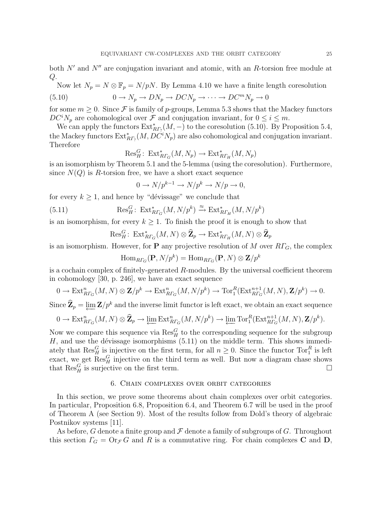both  $N'$  and  $N''$  are conjugation invariant and atomic, with an R-torsion free module at  $Q$ .

Now let  $N_p = N \otimes \mathbb{F}_p = N/pN$ . By Lemma 4.10 we have a finite length coresolution

(5.10) 
$$
0 \to N_p \to DN_p \to DCN_p \to \cdots \to DC^m N_p \to 0
$$

for some  $m \geq 0$ . Since F is family of p-groups, Lemma 5.3 shows that the Mackey functors  $DC^iN_p$  are cohomological over  $\mathcal F$  and conjugation invariant, for  $0 \leq i \leq m$ .

We can apply the functors  $\text{Ext}_{RF_?}^*(M, -)$  to the coresolution (5.10). By Proposition 5.4, the Mackey functors  $\text{Ext}_{RF_?}^*(M,DC^iN_p)$  are also cohomological and conjugation invariant. Therefore

$$
\mathrm{Res}^G_H\colon \operatorname{Ext}^*_{R\Gamma_G}(M,N_p)\to \operatorname{Ext}^*_{R\Gamma_H}(M,N_p)
$$

is an isomorphism by Theorem 5.1 and the 5-lemma (using the coresolution). Furthermore, since  $N(Q)$  is R-torsion free, we have a short exact sequence

$$
0 \to N/p^{k-1} \to N/p^k \to N/p \to 0,
$$

for every  $k > 1$ , and hence by "dévissage" we conclude that

(5.11) 
$$
\operatorname{Res}^G_H: \operatorname{Ext}^*_{R\Gamma_G}(M, N/p^k) \xrightarrow{\approx} \operatorname{Ext}^*_{R\Gamma_H}(M, N/p^k)
$$

is an isomorphism, for every  $k \geq 1$ . To finish the proof it is enough to show that

$$
\text{Res}_{H}^{G} \colon \operatorname{Ext}^*_{R\Gamma_G}(M,N) \otimes \widehat{\mathbf{Z}}_p \to \operatorname{Ext}^*_{R\Gamma_H}(M,N) \otimes \widehat{\mathbf{Z}}_p
$$

is an isomorphism. However, for **P** any projective resolution of M over  $R\Gamma$ <sub>G</sub>, the complex

$$
\mathrm{Hom}_{R\varGamma_G}(\mathbf{P},N/p^k)=\mathrm{Hom}_{R\varGamma_G}(\mathbf{P},N)\otimes\mathbf{Z}/p^k
$$

is a cochain complex of finitely-generated  $R$ -modules. By the universal coefficient theorem in cohomology [30, p. 246], we have an exact sequence

$$
0 \to \mathrm{Ext}^n_{R\Gamma_G}(M,N) \otimes \mathbf{Z}/p^k \to \mathrm{Ext}^n_{R\Gamma_G}(M,N/p^k) \to \mathrm{Tor}^R_1(\mathrm{Ext}^{n+1}_{R\Gamma_G}(M,N),\mathbf{Z}/p^k) \to 0.
$$

Since  $\widehat{\mathbf{Z}}_p = \varprojlim \mathbf{Z}/p^k$  and the inverse limit functor is left exact, we obtain an exact sequence

$$
0 \to \text{Ext}_{R\Gamma_G}^n(M, N) \otimes \widehat{\mathbf{Z}}_p \to \varprojlim \text{Ext}_{R\Gamma_G}^n(M, N/p^k) \to \varprojlim \text{Tor}_1^R(\text{Ext}_{R\Gamma_G}^{n+1}(M, N), \mathbf{Z}/p^k).
$$

Now we compare this sequence via  $\text{Res}_{H}^{G}$  to the corresponding sequence for the subgroup  $H$ , and use the dévissage isomorphisms  $(5.11)$  on the middle term. This shows immediately that  $\text{Res}_{H}^{G}$  is injective on the first term, for all  $n \geq 0$ . Since the functor  $\text{Tor}_{1}^{R}$  is left exact, we get  $\text{Res}_{H}^{G}$  injective on the third term as well. But now a diagram chase shows that  $\text{Res}_{H}^{G}$  is surjective on the first term.

# 6. Chain complexes over orbit categories

In this section, we prove some theorems about chain complexes over orbit categories. In particular, Proposition 6.8, Proposition 6.4, and Theorem 6.7 will be used in the proof of Theorem A (see Section 9). Most of the results follow from Dold's theory of algebraic Postnikov systems [11].

As before, G denote a finite group and  $\mathcal F$  denote a family of subgroups of G. Throughout this section  $\Gamma_G = \text{Or}_{\mathcal{F}} G$  and R is a commutative ring. For chain complexes C and D,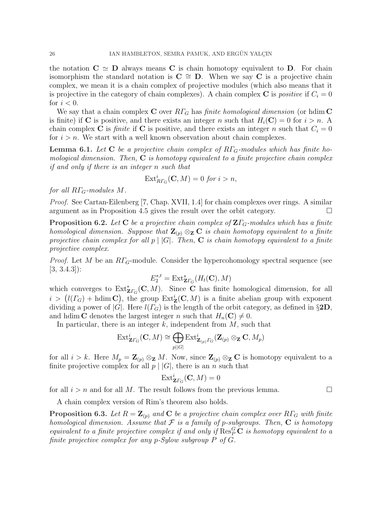the notation  $C \simeq D$  always means C is chain homotopy equivalent to D. For chain isomorphism the standard notation is  $C \cong D$ . When we say C is a projective chain complex, we mean it is a chain complex of projective modules (which also means that it is projective in the category of chain complexes). A chain complex C is positive if  $C_i = 0$ for  $i < 0$ .

We say that a chain complex C over  $R\Gamma_G$  has finite homological dimension (or hdim C is finite) if C is positive, and there exists an integer n such that  $H_i(\mathbf{C}) = 0$  for  $i > n$ . A chain complex C is *finite* if C is positive, and there exists an integer n such that  $C_i = 0$ for  $i > n$ . We start with a well known observation about chain complexes.

**Lemma 6.1.** Let C be a projective chain complex of  $R\Gamma_G$ -modules which has finite homological dimension. Then,  $C$  is homotopy equivalent to a finite projective chain complex if and only if there is an integer n such that

$$
\text{Ext}_{R\Gamma_G}^i(\mathbf{C},M) = 0 \text{ for } i > n,
$$

for all  $R\Gamma$ <sub>G</sub>-modules M.

Proof. See Cartan-Eilenberg [7, Chap. XVII, 1.4] for chain complexes over rings. A similar argument as in Proposition 4.5 gives the result over the orbit category.  $\Box$ 

**Proposition 6.2.** Let C be a projective chain complex of  $\mathbf{Z}\Gamma_G$ -modules which has a finite homological dimension. Suppose that  $\mathbf{Z}_{(p)} \otimes_{\mathbf{Z}} \mathbf{C}$  is chain homotopy equivalent to a finite projective chain complex for all  $p \mid |G|$ . Then, **C** is chain homotopy equivalent to a finite projective complex.

*Proof.* Let M be an  $RT_G$ -module. Consider the hypercohomology spectral sequence (see [3, 3.4.3]):

$$
E_2^{s,t} = \text{Ext}^s_{\mathbf{Z}\Gamma_G}(H_t(\mathbf{C}), M)
$$

which converges to  $\operatorname{Ext}^*_{\mathbf{Z} \Gamma_G}(\mathbf{C}, M)$ . Since **C** has finite homological dimension, for all which converges to  $\text{Ext}_{\mathbf{Z}\Gamma_G}(\mathbf{C},M)$ . Since C has limite homological dimension, for all  $i > (l(\Gamma_G) + \text{hdim}\,\mathbf{C})$ , the group  $\text{Ext}_{\mathbf{Z}}^i(\mathbf{C},M)$  is a finite abelian group with exponent dividing a power of  $|G|$ . Here  $l(\Gamma_G)$  is the length of the orbit category, as defined in §2D, and hdim **C** denotes the largest integer n such that  $H_n(\mathbf{C}) \neq 0$ .

In particular, there is an integer  $k$ , independent from  $M$ , such that M

$$
\mathrm{Ext}^i_{\mathbf{Z}\Gamma_G}(\mathbf{C},M)\cong \bigoplus_{p||G|}\mathrm{Ext}^i_{\mathbf{Z}_{(p)}\Gamma_G}(\mathbf{Z}_{(p)}\otimes_{\mathbf{Z}}\mathbf{C},M_p)
$$

for all  $i > k$ . Here  $M_p = \mathbb{Z}_{(p)} \otimes_{\mathbb{Z}} M$ . Now, since  $\mathbb{Z}_{(p)} \otimes_{\mathbb{Z}} \mathbb{C}$  is homotopy equivalent to a finite projective complex for all  $p \mid |G|$ , there is an n such that

$$
\mathrm{Ext}^i_{\mathbf{Z}\varGamma_G}(\mathbf{C},M)=0
$$

for all  $i > n$  and for all M. The result follows from the previous lemma.

A chain complex version of Rim's theorem also holds.

**Proposition 6.3.** Let  $R = \mathbb{Z}_{(p)}$  and C be a projective chain complex over  $R\Gamma_G$  with finite homological dimension. Assume that  $\mathcal F$  is a family of p-subgroups. Then,  $C$  is homotopy equivalent to a finite projective complex if and only if  $\text{Res}_{P}^{G} \mathbf{C}$  is homotopy equivalent to a finite projective complex for any p-Sylow subgroup P of G.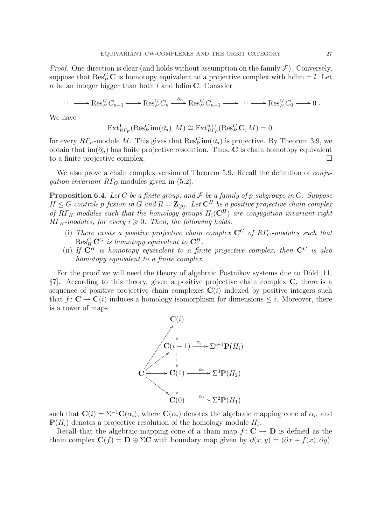*Proof.* One direction is clear (and holds without assumption on the family  $\mathcal{F}$ ). Conversely, suppose that  $\operatorname{Res}_{P}^{G}$ **C** is homotopy equivalent to a projective complex with hdim = *l*. Let  $n$  be an integer bigger than both  $l$  and hdim C. Consider

$$
\cdots \longrightarrow \operatorname{Res}_P^G C_{n+1} \longrightarrow \operatorname{Res}_P^G C_n \stackrel{\partial_n}{\longrightarrow} \operatorname{Res}_P^G C_{n-1} \longrightarrow \cdots \longrightarrow \operatorname{Res}_P^G C_0 \longrightarrow 0.
$$

We have

$$
\mathrm{Ext}^1_{R\varGamma_P}(\mathrm{Res}^G_P\mathrm{im}(\partial_n),M)\cong\mathrm{Ext}^{n+1}_{R\varGamma_P}(\mathrm{Res}^G_P\mathbf{C},M)=0,
$$

for every  $R\Gamma_P$ -module M. This gives that  $\text{Res}_P^G \text{im}(\partial_n)$  is projective. By Theorem 3.9, we obtain that  $\text{im}(\partial_n)$  has finite projective resolution. Thus, C is chain homotopy equivalent to a finite projective complex.  $\Box$ 

We also prove a chain complex version of Theorem 5.9. Recall the definition of *conjugation invariant RΓ<sub>G</sub>*-modules given in  $(5.2)$ .

**Proposition 6.4.** Let G be a finite group, and F be a family of p-subgroups in G. Suppose  $H \leq G$  controls p-fusion in G and  $R = \mathbf{Z}_{(p)}$ . Let  $\mathbf{C}^H$  be a positive projective chain complex of  $R\Gamma_H$ -modules such that the homology groups  $H_i(\mathbf{C}^H)$  are conjugation invariant right  $R\Gamma_H$ -modules, for every  $i \geq 0$ . Then, the following holds:

- (i) There exists a positive projective chain complex  $\mathbb{C}^G$  of  $R\Gamma_G$ -modules such that  $\mathrm{Res}^G_{H}\mathbf{C}^G$  is homotopy equivalent to  $\mathbf{C}^H.$
- (ii) If  $\ddot{C}^H$  is homotopy equivalent to a finite projective complex, then  $C^G$  is also homotopy equivalent to a finite complex.

For the proof we will need the theory of algebraic Postnikov systems due to Dold [11,  $\S7$ . According to this theory, given a positive projective chain complex C, there is a sequence of positive projective chain complexes  $C(i)$  indexed by positive integers such that  $f: \mathbf{C} \to \mathbf{C}(i)$  induces a homology isomorphism for dimensions  $\leq i$ . Moreover, there is a tower of maps



such that  $\mathbf{C}(i) = \Sigma^{-1}\mathbf{C}(\alpha_i)$ , where  $\mathbf{C}(\alpha_i)$  denotes the algebraic mapping cone of  $\alpha_i$ , and  $\mathbf{P}(H_i)$  denotes a projective resolution of the homology module  $H_i$ .

Recall that the algebraic mapping cone of a chain map  $f: \mathbf{C} \to \mathbf{D}$  is defined as the chain complex  $\mathbf{C}(f) = \mathbf{D} \oplus \Sigma \mathbf{C}$  with boundary map given by  $\partial(x, y) = (\partial x + f(x), \partial y)$ .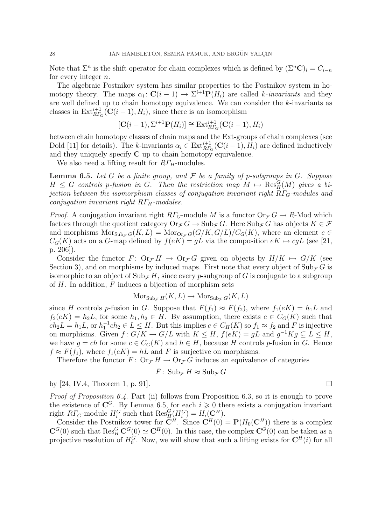Note that  $\Sigma^n$  is the shift operator for chain complexes which is defined by  $(\Sigma^n \mathbf{C})_i = C_{i-n}$ for every integer n.

The algebraic Postnikov system has similar properties to the Postnikov system in homotopy theory. The maps  $\alpha_i: \mathbf{C}(i-1) \to \Sigma^{i+1} \mathbf{P}(H_i)$  are called k-invariants and they are well defined up to chain homotopy equivalence. We can consider the k-invariants as classes in  $\text{Ext}_{R\Gamma_G}^{i+1}(\mathbf{C}(i-1), H_i)$ , since there is an isomorphism

$$
[\mathbf{C}(i-1), \Sigma^{i+1}\mathbf{P}(H_i)] \cong \mathrm{Ext}^{i+1}_{RT_G}(\mathbf{C}(i-1), H_i)
$$

between chain homotopy classes of chain maps and the Ext-groups of chain complexes (see Dold [11] for details). The k-invariants  $\alpha_i \in \text{Ext}_{RT_G}^{i+1}(\mathbf{C}(i-1), H_i)$  are defined inductively and they uniquely specify  $C$  up to chain homotopy equivalence.

We also need a lifting result for  $RT_H$ -modules.

**Lemma 6.5.** Let G be a finite group, and  $\mathcal F$  be a family of p-subgroups in G. Suppose  $H \leq G$  controls p-fusion in G. Then the restriction map  $M \mapsto \operatorname{Res}_{H}^{G}(M)$  gives a bijection between the isomorphism classes of conjugation invariant right  $R\Gamma$ <sub>G</sub>-modules and conjugation invariant right  $R\Gamma_H$ -modules.

*Proof.* A conjugation invariant right  $R\Gamma_G$ -module M is a functor  $\text{Or}_{\mathcal{F}} G \to R$ -Mod which factors through the quotient category  $Or_{\mathcal{F}} G \to \text{Sub}_{\mathcal{F}} G$ . Here  $\text{Sub}_{\mathcal{F}} G$  has objects  $K \in \mathcal{F}$ and morphisms  $Mors_{\text{ub}_{\mathcal{F}}G}(K, L) = Mor_{\text{Or}_{\mathcal{F}}G}(G/K, G/L)/C_G(K)$ , where an element  $c \in$  $C_G(K)$  acts on a G-map defined by  $f(eK) = gL$  via the composition  $eK \mapsto cgL$  (see [21, p. 206]).

Consider the functor  $F: \text{Or}_{\mathcal{F}} H \to \text{Or}_{\mathcal{F}} G$  given on objects by  $H/K \mapsto G/K$  (see Section 3), and on morphisms by induced maps. First note that every object of  $\text{Sub}_{\mathcal{F}} G$  is isomorphic to an object of  $\text{Sub}_{\mathcal{F}} H$ , since every p-subgroup of G is conjugate to a subgroup of  $H$ . In addition,  $F$  induces a bijection of morphism sets

$$
Mors_{\text{ub}_{\mathcal{F}} H}(K, L) \to Mor_{\text{Sub}_{\mathcal{F}} G}(K, L)
$$

since H controls p-fusion in G. Suppose that  $F(f_1) \approx F(f_2)$ , where  $f_1(eK) = h_1L$  and  $f_2(eK) = h_2L$ , for some  $h_1, h_2 \in H$ . By assumption, there exists  $c \in C_G(K)$  such that  $ch_2L = h_1L$ , or  $h_1^{-1}ch_2 \in L \leq H$ . But this implies  $c \in C_H(K)$  so  $f_1 \approx f_2$  and F is injective on morphisms. Given  $f: G/K \to G/L$  with  $K \leq H$ ,  $f(eK) = gL$  and  $g^{-1}Kg \subseteq L \leq H$ , we have  $g = ch$  for some  $c \in C_G(K)$  and  $h \in H$ , because H controls p-fusion in G. Hence  $f \approx F(f_1)$ , where  $f_1(eK) = hL$  and F is surjective on morphisms.

Therefore the functor  $F: \text{Or}_{\mathcal{F}} H \to \text{Or}_{\mathcal{F}} G$  induces an equivalence of categories

$$
\bar{F} \colon \operatorname{Sub}_{\mathcal{F}} H \approx \operatorname{Sub}_{\mathcal{F}} G
$$

by [24, IV.4, Theorem 1, p. 91].

Proof of Proposition 6.4. Part (ii) follows from Proposition 6.3, so it is enough to prove the existence of  $\mathbb{C}^G$ . By Lemma 6.5, for each  $i \geq 0$  there exists a conjugation invariant right  $R\Gamma_G$ -module  $H_i^G$  such that  $\text{Res}_H^G(H_i^G) = H_i(\mathbb{C}^H)$ .

Consider the Postnikov tower for  $\mathbf{C}^H$ . Since  $\mathbf{C}^H(0) = \mathbf{P}(H_0(\mathbf{C}^H))$  there is a complex  $\mathbf{C}^G(0)$  such that  $\text{Res}_H^G \mathbf{C}^G(0) \simeq \mathbf{C}^H(0)$ . In this case, the complex  $\mathbf{C}^G(0)$  can be taken as a projective resolution of  $H_0^G$ . Now, we will show that such a lifting exists for  $\mathbf{C}^H(i)$  for all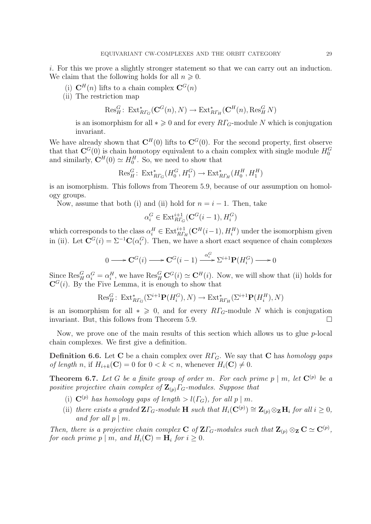i. For this we prove a slightly stronger statement so that we can carry out an induction. We claim that the following holds for all  $n \geqslant 0$ .

- (i)  $\mathbf{C}^{H}(n)$  lifts to a chain complex  $\mathbf{C}^{G}(n)$
- (ii) The restriction map

$$
\text{Res}_{H}^{G} \colon \operatorname{Ext}^*_{R\Gamma_G}(\mathbf{C}^G(n), N) \to \operatorname{Ext}^*_{R\Gamma_H}(\mathbf{C}^H(n), \operatorname{Res}_H^G N)
$$

is an isomorphism for all  $*\geq 0$  and for every  $R\Gamma_G$ -module N which is conjugation invariant.

We have already shown that  $\mathbf{C}^H(0)$  lifts to  $\mathbf{C}^G(0)$ . For the second property, first observe that that  $\mathbf{C}^G(0)$  is chain homotopy equivalent to a chain complex with single module  $H_0^G$ and similarly,  $\mathbf{C}^{H}(0) \simeq H_0^H$ . So, we need to show that

$$
\text{Res}^G_H: \text{Ext}^*_{R\Gamma_G}(H_0^G, H_1^G) \to \text{Ext}^*_{R\Gamma_H}(H_0^H, H_1^H)
$$

is an isomorphism. This follows from Theorem 5.9, because of our assumption on homology groups.

Now, assume that both (i) and (ii) hold for  $n = i - 1$ . Then, take

$$
\alpha_i^G \in \text{Ext}^{i+1}_{R\Gamma_G}(\mathbf{C}^G(i-1), H_i^G)
$$

which corresponds to the class  $\alpha_i^H \in \text{Ext}_{R\Gamma_H}^{i+1}(\mathbf{C}^H(i-1), H_i^H)$  under the isomorphism given in (ii). Let  $\mathbf{C}^G(i) = \Sigma^{-1}\mathbf{C}(\alpha_i^G)$ . Then, we have a short exact sequence of chain complexes

$$
0 \longrightarrow \mathbf{C}^G(i) \longrightarrow \mathbf{C}^G(i-1) \xrightarrow{\alpha_i^G} \Sigma^{i+1} \mathbf{P}(H_i^G) \longrightarrow 0
$$

Since  $\text{Res}_{H}^{G} \alpha_i^G = \alpha_i^H$ , we have  $\text{Res}_{H}^{G} \mathbf{C}^{G}(i) \simeq \mathbf{C}^{H}(i)$ . Now, we will show that (ii) holds for  $\mathbf{C}^{G}(i)$ . By the Five Lemma, it is enough to show that

$$
\text{Res}_{H}^{G} \colon \operatorname{Ext}^*_{R\Gamma_G}(\Sigma^{i+1} \mathbf{P}(H_i^G), N) \to \operatorname{Ext}^*_{R\Gamma_H}(\Sigma^{i+1} \mathbf{P}(H_i^H), N)
$$

is an isomorphism for all  $* \geq 0$ , and for every  $R\Gamma_G$ -module N which is conjugation invariant. But, this follows from Theorem 5.9.  $\Box$ 

Now, we prove one of the main results of this section which allows us to glue  $p$ -local chain complexes. We first give a definition.

**Definition 6.6.** Let C be a chain complex over  $R\Gamma$ <sub>G</sub>. We say that C has *homology gaps* of length n, if  $H_{i+k}(\mathbf{C}) = 0$  for  $0 < k < n$ , whenever  $H_i(\mathbf{C}) \neq 0$ .

**Theorem 6.7.** Let G be a finite group of order m. For each prime  $p \mid m$ , let  $\mathbf{C}^{(p)}$  be a positive projective chain complex of  $\mathbf{Z}_{(p)}\Gamma_{G}$ -modules. Suppose that

- (i)  $\mathbf{C}^{(p)}$  has homology gaps of length  $> l(\Gamma_G)$ , for all p | m.
- (ii) there exists a graded  $\mathbf{Z}\Gamma_G$ -module  $\mathbf{H}$  such that  $H_i(\mathbf{C}^{(p)}) \cong \mathbf{Z}_{(p)} \otimes_{\mathbf{Z}} \mathbf{H}_i$  for all  $i \geq 0$ , and for all  $p \mid m$ .

Then, there is a projective chain complex **C** of  $\mathbf{Z}\Gamma_G$ -modules such that  $\mathbf{Z}_{(p)} \otimes_{\mathbf{Z}} \mathbf{C} \simeq \mathbf{C}^{(p)}$ , for each prime  $p \mid m$ , and  $H_i(\mathbf{C}) = \mathbf{H}_i$  for  $i \geq 0$ .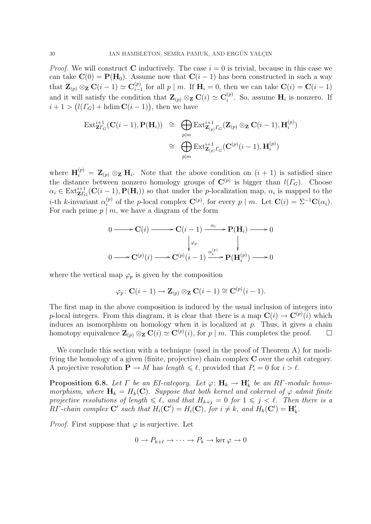*Proof.* We will construct **C** inductively. The case  $i = 0$  is trivial, because in this case we can take  $\mathbf{C}(0) = \mathbf{P}(\mathbf{H}_0)$ . Assume now that  $\mathbf{C}(i-1)$  has been constructed in such a way that  $\mathbf{Z}_{(p)} \otimes_{\mathbf{Z}} \mathbf{C}(i-1) \simeq \mathbf{C}^{(p)}_{i-1}$  $\sum_{i=1}^{(p)}$  for all  $p \mid m$ . If  $\mathbf{H}_i = 0$ , then we can take  $\mathbf{C}(i) = \mathbf{C}(i-1)$ and it will satisfy the condition that  $\mathbf{Z}_{(p)} \otimes_{\mathbf{Z}} \mathbf{C}(i) \simeq \mathbf{C}_{i}^{(p)}$ will satisfy the condition that  $\mathbf{Z}_{(p)} \otimes_{\mathbf{Z}} \mathbf{C}(i) \simeq \mathbf{C}_i^{(p)}$ . So, assume  $\mathbf{H}_i$  is nonzero. If and it will satisfy the condition that  $\mathbf{Z}_{(p)} \otimes_{\mathbf{Z}} \mathbf{C}$ <br> $i + 1 > (l(\Gamma_G) + \text{hdim }\mathbf{C}(i-1)),$  then we have

$$
\operatorname{Ext}_{\mathbf{Z}\Gamma_G}^{i+1}(\mathbf{C}(i-1),\mathbf{P}(\mathbf{H}_i)) \cong \bigoplus_{p|m} \operatorname{Ext}_{\mathbf{Z}_{(p)}\Gamma_G}^{i+1}(\mathbf{Z}_{(p)} \otimes_{\mathbf{Z}} \mathbf{C}(i-1),\mathbf{H}_i^{(p)})
$$

$$
\cong \bigoplus_{p|m} \operatorname{Ext}_{\mathbf{Z}_{(p)}\Gamma_G}^{i+1}(\mathbf{C}^{(p)}(i-1),\mathbf{H}_i^{(p)})
$$

where  $\mathbf{H}_{i}^{(p)} = \mathbf{Z}_{(p)} \otimes_{\mathbf{Z}} \mathbf{H}_{i}$ . Note that the above condition on  $(i + 1)$  is satisfied since the distance between nonzero homology groups of  $\mathbb{C}^{(p)}$  is bigger than  $l(\Gamma_G)$ . Choose  $\alpha_i \in \text{Ext}_{\mathbf{Z}T_G}^{i+1}(\mathbf{C}(i-1), \mathbf{P}(\mathbf{H}_i))$  so that under the p-localization map,  $\alpha_i$  is mapped to the *i*-th *k*-invariant  $\alpha_i^{(p)}$  $i^{(p)}$  of the p-local complex  $\mathbf{C}^{(p)}$ , for every p | m. Let  $\mathbf{C}(i) = \Sigma^{-1}\mathbf{C}(\alpha_i)$ . For each prime  $p \mid m$ , we have a diagram of the form

$$
0 \longrightarrow \mathbf{C}(i) \longrightarrow \mathbf{C}(i-1) \xrightarrow{\alpha_i} \mathbf{P}(\mathbf{H}_i) \longrightarrow 0
$$
  
\n
$$
\downarrow \varphi_p
$$
  
\n
$$
0 \longrightarrow \mathbf{C}^{(p)}(i) \longrightarrow \mathbf{C}^{(p)}(i-1) \xrightarrow{\alpha_i^{(p)}} \mathbf{P}(\mathbf{H}_i^{(p)}) \longrightarrow 0
$$

where the vertical map  $\varphi_p$  is given by the composition

$$
\varphi_p \colon \mathbf{C}(i-1) \to \mathbf{Z}_{(p)} \otimes_{\mathbf{Z}} \mathbf{C}(i-1) \cong \mathbf{C}^{(p)}(i-1).
$$

The first map in the above composition is induced by the usual inclusion of integers into p-local integers. From this diagram, it is clear that there is a map  $\mathbf{C}(i) \to \mathbf{C}^{(p)}(i)$  which induces an isomorphism on homology when it is localized at  $p$ . Thus, it gives a chain homotopy equivalence  $\mathbf{Z}_{(p)} \otimes_{\mathbf{Z}} \mathbf{C}(i) \simeq \mathbf{C}^{(p)}(i)$ , for  $p \mid m$ . This completes the proof.  $\Box$ 

We conclude this section with a technique (used in the proof of Theorem A) for modifying the homology of a given (finite, projective) chain complex  $C$  over the orbit category. A projective resolution  $\mathbf{P} \to M$  has length  $\leq \ell$ , provided that  $P_i = 0$  for  $i > \ell$ .

**Proposition 6.8.** Let  $\Gamma$  be an EI-category. Let  $\varphi: \mathbf{H}_k \to \mathbf{H}'_k$  be an RT-module homomorphism, where  $\mathbf{H}_k = H_k(\mathbf{C})$ . Suppose that both kernel and cokernel of  $\varphi$  admit finite projective resolutions of length  $\leq \ell$ , and that  $H_{k+i} = 0$  for  $1 \leq j \leq \ell$ . Then there is a RΓ-chain complex C' such that  $H_i(\mathbf{C}') = H_i(\mathbf{C})$ , for  $i \neq k$ , and  $H_k(\mathbf{C}') = \mathbf{H}'_k$ .

*Proof.* First suppose that  $\varphi$  is surjective. Let

$$
0 \to P_{k+\ell} \to \cdots \to P_k \to \ker \varphi \to 0
$$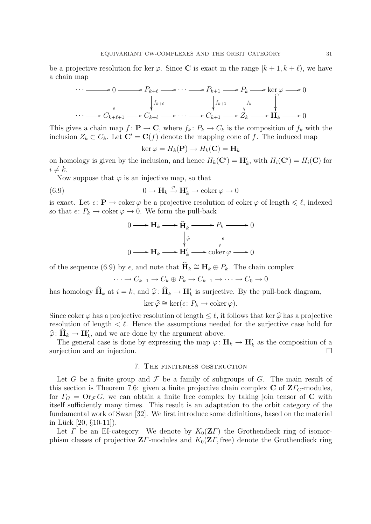be a projective resolution for ker  $\varphi$ . Since **C** is exact in the range  $[k+1, k+ \ell)$ , we have a chain map



This gives a chain map  $f : \mathbf{P} \to \mathbf{C}$ , where  $f_k : P_k \to C_k$  is the composition of  $f_k$  with the inclusion  $Z_k \subset C_k$ . Let  $\mathbf{C}' = \mathbf{C}(f)$  denote the mapping cone of f. The induced map

$$
\ker \varphi = H_k(\mathbf{P}) \to H_k(\mathbf{C}) = \mathbf{H}_k
$$

on homology is given by the inclusion, and hence  $H_k(\mathbf{C}') = \mathbf{H}'_k$ , with  $H_i(\mathbf{C}') = H_i(\mathbf{C})$  for  $i \neq k$ .

Now suppose that  $\varphi$  is an injective map, so that

(6.9) 
$$
0 \to \mathbf{H}_k \xrightarrow{\varphi} \mathbf{H}'_k \to \text{coker}\,\varphi \to 0
$$

is exact. Let  $\epsilon: \mathbf{P} \to \text{coker } \varphi$  be a projective resolution of coker  $\varphi$  of length  $\leq \ell$ , indexed so that  $\epsilon: P_k \to \text{coker }\varphi \to 0$ . We form the pull-back

$$
0 \longrightarrow H_k \longrightarrow \widehat{H}_k \longrightarrow P_k \longrightarrow 0
$$
  

$$
\parallel \qquad \qquad \downarrow \widehat{\varphi} \qquad \qquad \downarrow \epsilon
$$
  

$$
0 \longrightarrow H_k \longrightarrow H'_k \longrightarrow \operatorname{coker} \varphi \longrightarrow 0
$$

of the sequence (6.9) by  $\epsilon$ , and note that  $\widehat{H}_k \cong H_k \oplus P_k$ . The chain complex

 $\cdots \rightarrow C_{k+1} \rightarrow C_k \oplus P_k \rightarrow C_{k-1} \rightarrow \cdots \rightarrow C_0 \rightarrow 0$ 

has homology  $\widehat{H}_k$  at  $i = k$ , and  $\widehat{\varphi} \colon \widehat{H}_k \to H'_k$  is surjective. By the pull-back diagram,

ker  $\widehat{\varphi} \cong \ker(\epsilon \colon P_k \to \mathrm{coker}\,\varphi).$ 

Since coker  $\varphi$  has a projective resolution of length  $\leq \ell$ , it follows that ker  $\widehat{\varphi}$  has a projective resolution of length  $\langle \ell \rangle$ . Hence the assumptions needed for the surjective case hold for  $\widehat{\varphi} \colon \widehat{\mathbf{H}}_k \to \mathbf{H}'_k$ , and we are done by the argument above.

The general case is done by expressing the map  $\varphi: \mathbf{H}_k \to \mathbf{H}'_k$  as the composition of a surjection and an injection.

### 7. The finiteness obstruction

Let G be a finite group and  $\mathcal F$  be a family of subgroups of G. The main result of this section is Theorem 7.6: given a finite projective chain complex  $C$  of  $Z\Gamma$ <sub>G</sub>-modules, for  $\Gamma_G = \mathrm{Or}_{\mathcal{F}} G$ , we can obtain a finite free complex by taking join tensor of C with itself sufficiently many times. This result is an adaptation to the orbit category of the fundamental work of Swan [32]. We first introduce some definitions, based on the material in Lück  $[20, §10-11]$ .

Let  $\Gamma$  be an EI-category. We denote by  $K_0(\mathbf{Z}\Gamma)$  the Grothendieck ring of isomorphism classes of projective  $\mathbf{Z}\Gamma$ -modules and  $K_0(\mathbf{Z}\Gamma, \text{free})$  denote the Grothendieck ring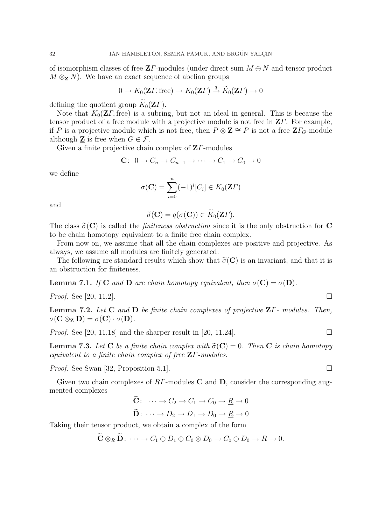of isomorphism classes of free  $\mathbf{Z}\Gamma$ -modules (under direct sum  $M \oplus N$  and tensor product  $M \otimes_{\mathbf{Z}} N$ . We have an exact sequence of abelian groups

$$
0 \to K_0(\mathbf{Z}\Gamma, \text{free}) \to K_0(\mathbf{Z}\Gamma) \xrightarrow{q} \widetilde{K}_0(\mathbf{Z}\Gamma) \to 0
$$

defining the quotient group  $\widetilde{K}_0(\mathbf{Z}\Gamma)$ .

Note that  $K_0(\mathbf{Z}\Gamma, \text{free})$  is a subring, but not an ideal in general. This is because the tensor product of a free module with a projective module is not free in  $Z\Gamma$ . For example, if P is a projective module which is not free, then  $P \otimes \mathbf{Z} \cong P$  is not a free  $\mathbf{Z}\Gamma_G$ -module although  $\underline{\mathbf{Z}}$  is free when  $G \in \mathcal{F}$ .

Given a finite projective chain complex of  $Z\Gamma$ -modules

$$
\mathbf{C}: \ 0 \to C_n \to C_{n-1} \to \cdots \to C_1 \to C_0 \to 0
$$

we define

$$
\sigma(\mathbf{C}) = \sum_{i=0}^{n} (-1)^{i} [C_i] \in K_0(\mathbf{Z}\Gamma)
$$

and

$$
\widetilde{\sigma}(\mathbf{C}) = q(\sigma(\mathbf{C})) \in \widetilde{K}_0(\mathbf{Z}\Gamma).
$$

The class  $\tilde{\sigma}(\mathbf{C})$  is called the *finiteness obstruction* since it is the only obstruction for C to be chain homotopy equivalent to a finite free chain complex.

From now on, we assume that all the chain complexes are positive and projective. As always, we assume all modules are finitely generated.

The following are standard results which show that  $\tilde{\sigma}(C)$  is an invariant, and that it is an obstruction for finiteness.

**Lemma 7.1.** If C and D are chain homotopy equivalent, then  $\sigma(C) = \sigma(D)$ .

*Proof.* See [20, 11.2].

**Lemma 7.2.** Let C and D be finite chain complexes of projective  $\mathbf{Z}\Gamma$ -modules. Then,  $\sigma(\mathbf{C} \otimes_{\mathbf{Z}} \mathbf{D}) = \sigma(\mathbf{C}) \cdot \sigma(\mathbf{D}).$ 

*Proof.* See [20, 11.18] and the sharper result in [20, 11.24].

**Lemma 7.3.** Let **C** be a finite chain complex with  $\tilde{\sigma}(\mathbf{C}) = 0$ . Then **C** is chain homotopy equivalent to a finite chain complex of free  $Z\Gamma$ -modules.

*Proof.* See Swan [32, Proposition 5.1].

Given two chain complexes of  $RT$ -modules C and D, consider the corresponding augmented complexes

$$
\widetilde{\mathbf{C}}: \quad \cdots \to C_2 \to C_1 \to C_0 \to \underline{R} \to 0
$$
\n
$$
\widetilde{\mathbf{D}}: \quad \cdots \to D_2 \to D_1 \to D_0 \to \underline{R} \to 0
$$

Taking their tensor product, we obtain a complex of the form

$$
\widetilde{\mathbf{C}} \otimes_R \widetilde{\mathbf{D}} \colon \cdots \to C_1 \oplus D_1 \oplus C_0 \otimes D_0 \to C_0 \oplus D_0 \to \underline{R} \to 0.
$$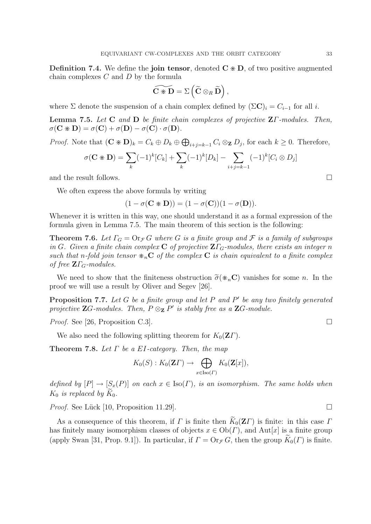**Definition 7.4.** We define the join tensor, denoted  $C \times D$ , of two positive augmented chain complexes  $C$  and  $D$  by the formula

$$
\widetilde{\mathbf{C} \times \mathbf{D}} = \Sigma \left( \widetilde{\mathbf{C}} \otimes_R \widetilde{\mathbf{D}} \right),
$$

where  $\Sigma$  denote the suspension of a chain complex defined by  $(\Sigma \mathbf{C})_i = C_{i-1}$  for all i.

**Lemma 7.5.** Let **C** and **D** be finite chain complexes of projective  $\mathbf{Z}\Gamma$ -modules. Then,  $\sigma(\mathbf{C} \times \mathbf{D}) = \sigma(\mathbf{C}) + \sigma(\mathbf{D}) - \sigma(\mathbf{C}) \cdot \sigma(\mathbf{D}).$ 

*Proof.* Note that  $(\mathbf{C} \times \mathbf{D})_k = C_k \oplus D_k \oplus$  $\overline{a}$  $i_{j=k-1}$   $C_i \otimes_{\mathbf{Z}} D_j$ , for each  $k \geq 0$ . Therefore,

$$
\sigma(\mathbf{C} \ast \mathbf{D}) = \sum_{k} (-1)^{k} [C_{k}] + \sum_{k} (-1)^{k} [D_{k}] - \sum_{i+j=k-1} (-1)^{k} [C_{i} \otimes D_{j}]
$$

and the result follows.  $\Box$ 

We often express the above formula by writing

$$
(1 - \sigma(\mathbf{C} \times \mathbf{D})) = (1 - \sigma(\mathbf{C}))(1 - \sigma(\mathbf{D})).
$$

Whenever it is written in this way, one should understand it as a formal expression of the formula given in Lemma 7.5. The main theorem of this section is the following:

**Theorem 7.6.** Let  $\Gamma_G = \text{Or}_{\mathcal{F}} G$  where G is a finite group and F is a family of subgroups in G. Given a finite chain complex C of projective  $Z\Gamma_G$ -modules, there exists an integer n such that n-fold join tensor  $*_nC$  of the complex C is chain equivalent to a finite complex of free  $\mathbf{Z}\Gamma_G$ -modules.

We need to show that the finiteness obstruction  $\tilde{\sigma}(\mathbf{w}_n,\mathbf{C})$  vanishes for some n. In the proof we will use a result by Oliver and Segev [26].

**Proposition 7.7.** Let G be a finite group and let P and P' be any two finitely generated projective **Z**G-modules. Then,  $P \otimes_{\mathbf{Z}} P'$  is stably free as a **Z**G-module.

*Proof.* See [26, Proposition C.3].

We also need the following splitting theorem for  $K_0(\mathbf{Z}\Gamma)$ .

**Theorem 7.8.** Let  $\Gamma$  be a EI-category. Then, the map

$$
K_0(S): K_0(\mathbf{Z}\Gamma) \to \bigoplus_{x \in \text{Iso}(\Gamma)} K_0(\mathbf{Z}[x]),
$$

defined by  $[P] \to [S_x(P)]$  on each  $x \in \text{Iso}(\Gamma)$ , is an isomorphism. The same holds when  $K_0$  is replaced by  $\tilde{K}_0$ .

*Proof.* See Lück [10, Proposition 11.29].  $\Box$ 

As a consequence of this theorem, if  $\Gamma$  is finite then  $\widetilde{K}_0(\mathbf{Z}\Gamma)$  is finite: in this case  $\Gamma$ has finitely many isomorphism classes of objects  $x \in Ob(\Gamma)$ , and Aut[x] is a finite group (apply Swan [31, Prop. 9.1]). In particular, if  $\Gamma = \text{Or}_{\mathcal{F}} G$ , then the group  $\widetilde{K}_0(\Gamma)$  is finite.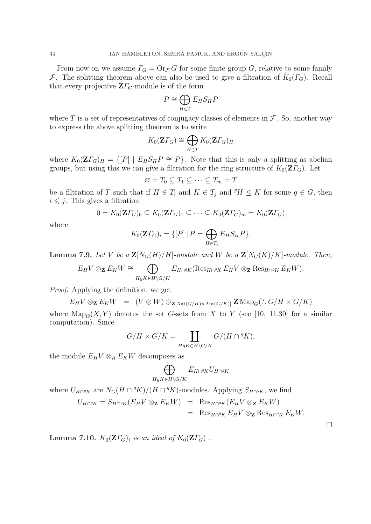From now on we assume  $\Gamma_G = \text{Or}_{\mathcal{F}} G$  for some finite group G, relative to some family F. The splitting theorem above can also be used to give a filtration of  $K_0(\Gamma_G)$ . Recall that every projective  $\mathbf{Z}\Gamma_G$ -module is of the form

$$
P \cong \bigoplus_{H \in T} E_H S_H P
$$

where T is a set of representatives of conjugacy classes of elements in  $\mathcal F$ . So, another way to express the above splitting theorem is to write

$$
K_0(\mathbf{Z}\Gamma_G) \cong \bigoplus_{H \in T} K_0(\mathbf{Z}\Gamma_G)_H
$$

where  $K_0(Z\Gamma_G)_H = \{ [P] \mid E_H S_H P \cong P \}.$  Note that this is only a splitting as abelian groups, but using this we can give a filtration for the ring structure of  $K_0(\mathbf{Z}\Gamma_G)$ . Let

$$
\varnothing = T_0 \subseteq T_1 \subseteq \cdots \subseteq T_m = T
$$

be a filtration of T such that if  $H \in T_i$  and  $K \in T_j$  and  $^gH \leq K$  for some  $g \in G$ , then  $i \leq j$ . This gives a filtration

$$
0 = K_0(\mathbf{Z}\Gamma_G)_0 \subseteq K_0(\mathbf{Z}\Gamma_G)_1 \subseteq \cdots \subseteq K_0(\mathbf{Z}\Gamma_G)_m = K_0(\mathbf{Z}\Gamma_G)
$$

where

$$
K_0(\mathbf{Z}\Gamma_G)_i = \{ [P] \mid P = \bigoplus_{H \in T_i} E_H S_H P \}.
$$

**Lemma 7.9.** Let V be a  $\mathbf{Z}[N_G(H)/H]$ -module and W be a  $\mathbf{Z}[N_G(K)/K]$ -module. Then,

$$
E_H V \otimes_{\mathbf{Z}} E_K W \cong \bigoplus_{HgK \in H \backslash G/K} E_{H \cap {}^gK} (\text{Res}_{H \cap {}^gK} E_H V \otimes_{\mathbf{Z}} \text{Res}_{H \cap {}^gK} E_K W).
$$

Proof. Applying the definition, we get

$$
E_H V \otimes_{\mathbf{Z}} E_K W = (V \otimes W) \otimes_{\mathbf{Z}[\text{Aut}(G/H) \times \text{Aut}(G/K)]} \mathbf{Z} \text{Map}_G(?, G/H \times G/K)
$$

where  $\text{Map}_G(X, Y)$  denotes the set G-sets from X to Y (see [10, 11.30] for a similar computation). Since

$$
G/H \times G/K = \coprod_{HgK \in H \backslash G/K} G/(H \cap {}^gK),
$$

the module  $E_H V \otimes_R E_K W$  decomposes as

$$
\bigoplus_{HgK\in H\backslash G/K}E_{H\cap^gK}U_{H\cap^gK}
$$

where  $U_{H \cap {}^{g}K}$  are  $N_G(H \cap {}^{g}K)/(H \cap {}^{g}K)$ -modules. Applying  $S_{H \cap {}^{g}K}$ , we find

$$
U_{H\cap{}^{g}K} = S_{H\cap{}^{g}K}(E_HV \otimes_{\mathbf{Z}} E_KW) = \text{Res}_{H\cap{}^{g}K}(E_HV \otimes_{\mathbf{Z}} E_KW)
$$
  
= Res\_{H\cap{}^{g}K} E\_HV \otimes\_{\mathbf{Z}} \text{Res}\_{H\cap{}^{g}K} E\_KW.

**Lemma 7.10.**  $K_0(\mathbf{Z}\Gamma_G)$  is an ideal of  $K_0(\mathbf{Z}\Gamma_G)$ .

 $\Box$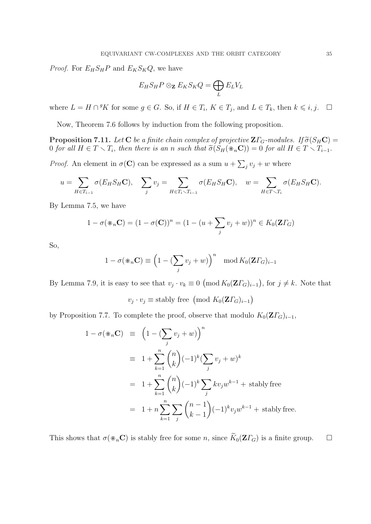*Proof.* For  $E_H S_H P$  and  $E_K S_K Q$ , we have

$$
E_H S_H P \otimes_{\mathbf{Z}} E_K S_K Q = \bigoplus_L E_L V_L
$$

where  $L = H \cap {}^{g}K$  for some  $g \in G$ . So, if  $H \in T_i$ ,  $K \in T_j$ , and  $L \in T_k$ , then  $k \leq i, j$ .  $\Box$ 

Now, Theorem 7.6 follows by induction from the following proposition.

**Proposition 7.11.** Let **C** be a finite chain complex of projective  $\mathbf{Z}\Gamma_G$ -modules. If  $\widetilde{\sigma}(S_H\mathbf{C})$  = 0 for all  $H \in T \setminus T_i$ , then there is an n such that  $\tilde{\sigma}(S_H(\divideontimes_n\mathbb{C})) = 0$  for all  $H \in T \setminus T_{i-1}$ .

*Proof.* An element in  $\sigma(\mathbf{C})$  can be expressed as a sum  $u +$  $\overline{ }$  $j v_j + w$  where

$$
u = \sum_{H \in T_{i-1}} \sigma(E_H S_H \mathbf{C}), \quad \sum_j v_j = \sum_{H \in T_i \setminus T_{i-1}} \sigma(E_H S_H \mathbf{C}), \quad w = \sum_{H \in T \setminus T_i} \sigma(E_H S_H \mathbf{C}).
$$

By Lemma 7.5, we have

$$
1 - \sigma(\mathbf{X}_n \mathbf{C}) = (1 - \sigma(\mathbf{C}))^n = (1 - (u + \sum_j v_j + w))^n \in K_0(\mathbf{Z} \Gamma_G)
$$

So,

$$
1 - \sigma(\mathbf{K}_n \mathbf{C}) \equiv \left(1 - \left(\sum_j v_j + w\right)\right)^n \mod K_0(\mathbf{Z} \Gamma_G)_{i-1}
$$

By Lemma 7.9, it is easy to see that  $v_j \cdot v_k \equiv 0$ ¡ mod  $K_0(\mathbf{Z}\varGamma_{G})_{i-1}$ ¢ , for  $j \neq k$ . Note that

$$
v_j \cdot v_j \equiv \text{stably free } \left( \text{mod } K_0(\mathbf{Z} \Gamma_G)_{i-1} \right)
$$

by Proposition 7.7. To complete the proof, observe that modulo  $K_0(\mathbf{Z}\Gamma_G)_{i-1}$ ,

$$
1 - \sigma(\mathbf{x}_n \mathbf{C}) = \left(1 - (\sum_j v_j + w)\right)^n
$$
  
\n
$$
= 1 + \sum_{k=1}^n {n \choose k} (-1)^k (\sum_j v_j + w)^k
$$
  
\n
$$
= 1 + \sum_{k=1}^n {n \choose k} (-1)^k \sum_j k v_j w^{k-1} + \text{stably free}
$$
  
\n
$$
= 1 + n \sum_{k=1}^n \sum_j {n-1 \choose k-1} (-1)^k v_j w^{k-1} + \text{stably free.}
$$

This shows that  $\sigma(\mathcal{K}_n\mathbf{C})$  is stably free for some n, since  $\widetilde{K}_0(\mathbf{Z}\Gamma_G)$  is a finite group.  $\Box$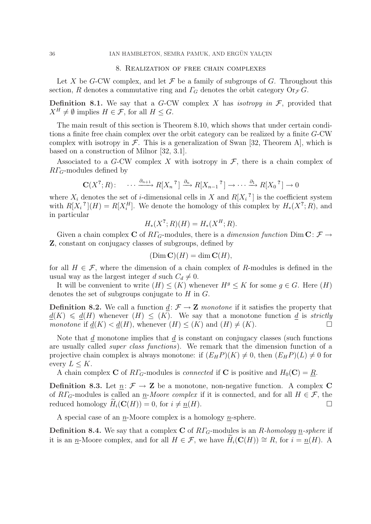#### 8. Realization of free chain complexes

Let X be G-CW complex, and let  $\mathcal F$  be a family of subgroups of G. Throughout this section, R denotes a commutative ring and  $\Gamma_G$  denotes the orbit category  $\text{Or}_{\mathcal{F}} G$ .

**Definition 8.1.** We say that a G-CW complex X has *isotropy in*  $\mathcal{F}$ , provided that  $X^H \neq \emptyset$  implies  $H \in \mathcal{F}$ , for all  $H \leq G$ .

The main result of this section is Theorem 8.10, which shows that under certain conditions a finite free chain complex over the orbit category can be realized by a finite G-CW complex with isotropy in  $\mathcal F$ . This is a generalization of Swan [32, Theorem A], which is based on a construction of Milnor [32, 3.1].

Associated to a G-CW complex X with isotropy in  $\mathcal{F}$ , there is a chain complex of  $R\Gamma$ <sub>G</sub>-modules defined by

$$
\mathbf{C}(X^?;R): \cdots \xrightarrow{\partial_{n+1}} R[X_n]^? \xrightarrow{\partial_n} R[X_{n-1}]^? \rightarrow \cdots \xrightarrow{\partial_1} R[X_0]^? \rightarrow 0
$$

where  $X_i$  denotes the set of *i*-dimensional cells in X and  $R[X_i]$  is the coefficient system with  $R[X_i^{\,2}](H) = R[X_i^H]$ . We denote the homology of this complex by  $H_*(X^2;R)$ , and in particular

$$
H_*(X^?; R)(H) = H_*(X^H; R).
$$

Given a chain complex **C** of  $R\Gamma_G$ -modules, there is a *dimension function* Dim **C**:  $\mathcal{F} \rightarrow$ Z, constant on conjugacy classes of subgroups, defined by

$$
(\text{Dim }\mathbf{C})(H) = \dim \mathbf{C}(H),
$$

for all  $H \in \mathcal{F}$ , where the dimension of a chain complex of R-modules is defined in the usual way as the largest integer d such  $C_d \neq 0$ .

It will be convenient to write  $(H) \leq (K)$  whenever  $H<sup>g</sup> \leq K$  for some  $g \in G$ . Here  $(H)$ denotes the set of subgroups conjugate to  $H$  in  $G$ .

**Definition 8.2.** We call a function  $d: \mathcal{F} \to \mathbf{Z}$  monotone if it satisfies the property that  $d(K) \le d(H)$  whenever  $(H) \le (K)$ . We say that a monotone function d is strictly monotone if  $d(K) < d(H)$ , whenever  $(H) \leq (K)$  and  $(H) \neq (K)$ .

Note that  $d$  monotone implies that  $d$  is constant on conjugacy classes (such functions are usually called super class functions). We remark that the dimension function of a projective chain complex is always monotone: if  $(E_H P)(K) \neq 0$ , then  $(E_H P)(L) \neq 0$  for every  $L < K$ .

A chain complex C of  $R\Gamma_G$ -modules is *connected* if C is positive and  $H_0(\mathbf{C}) = R$ .

**Definition 8.3.** Let  $n: \mathcal{F} \to \mathbf{Z}$  be a monotone, non-negative function. A complex C of  $R\Gamma_G$ -modules is called an <u>n</u>-Moore complex if it is connected, and for all  $H \in \mathcal{F}$ , the reduced homology  $H_i(\mathbf{C}(H)) = 0$ , for  $i \neq n(H)$ .

A special case of an  $n$ -Moore complex is a homology  $n$ -sphere.

**Definition 8.4.** We say that a complex C of  $R\Gamma$ -modules is an R-homology n-sphere if it is an n-Moore complex, and for all  $H \in \mathcal{F}$ , we have  $H_i(\mathbf{C}(H)) \cong R$ , for  $i = n(H)$ . A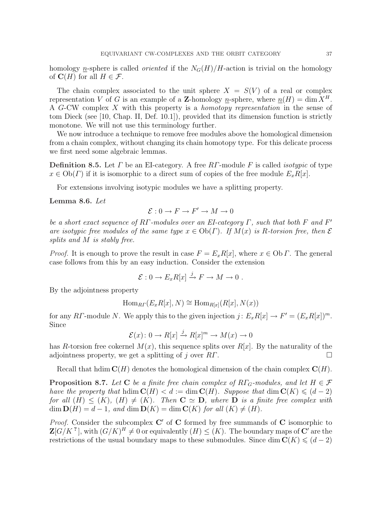homology n-sphere is called *oriented* if the  $N_G(H)/H$ -action is trivial on the homology of  $\mathbf{C}(H)$  for all  $H \in \mathcal{F}$ .

The chain complex associated to the unit sphere  $X = S(V)$  of a real or complex representation V of G is an example of a **Z**-homology n-sphere, where  $n(H) = \dim X^H$ . A G-CW complex X with this property is a homotopy representation in the sense of tom Dieck (see [10, Chap. II, Def. 10.1]), provided that its dimension function is strictly monotone. We will not use this terminology further.

We now introduce a technique to remove free modules above the homological dimension from a chain complex, without changing its chain homotopy type. For this delicate process we first need some algebraic lemmas.

**Definition 8.5.** Let  $\Gamma$  be an EI-category. A free  $\mathbb{R}\Gamma$ -module F is called *isotypic* of type  $x \in Ob(\Gamma)$  if it is isomorphic to a direct sum of copies of the free module  $E_x R[x]$ .

For extensions involving isotypic modules we have a splitting property.

### Lemma 8.6. Let

$$
\mathcal{E}: 0 \to F \to F' \to M \to 0
$$

be a short exact sequence of RΓ-modules over an EI-category  $\Gamma$ , such that both F and F' are isotypic free modules of the same type  $x \in Ob(\Gamma)$ . If  $M(x)$  is R-torsion free, then  $\mathcal E$ splits and M is stably free.

*Proof.* It is enough to prove the result in case  $F = E_x R[x]$ , where  $x \in \text{Ob } \Gamma$ . The general case follows from this by an easy induction. Consider the extension

$$
\mathcal{E}: 0 \to E_x R[x] \xrightarrow{j} F \to M \to 0.
$$

By the adjointness property

$$
\operatorname{Hom}_{RT}(E_x R[x], N) \cong \operatorname{Hom}_{R[x]}(R[x], N(x))
$$

for any RΓ-module N. We apply this to the given injection  $j: E_x R[x] \to F' = (E_x R[x])^m$ . Since

$$
\mathcal{E}(x): 0 \to R[x] \xrightarrow{j} R[x]^m \to M(x) \to 0
$$

has R-torsion free cokernel  $M(x)$ , this sequence splits over  $R[x]$ . By the naturality of the adjointness property, we get a splitting of j over  $R\Gamma$ .

Recall that hdim  $\mathbf{C}(H)$  denotes the homological dimension of the chain complex  $\mathbf{C}(H)$ .

**Proposition 8.7.** Let C be a finite free chain complex of  $R\Gamma_G$ -modules, and let  $H \in \mathcal{F}$ have the property that hdim  $\mathbf{C}(H) < d := \dim \mathbf{C}(H)$ . Suppose that  $\dim \mathbf{C}(K) \leq (d-2)$ for all  $(H) \leq (K)$ ,  $(H) \neq (K)$ . Then  $C \simeq D$ , where D is a finite free complex with  $\dim \mathbf{D}(H) = d - 1$ , and  $\dim \mathbf{D}(K) = \dim \mathbf{C}(K)$  for all  $(K) \neq (H)$ .

*Proof.* Consider the subcomplex  $C'$  of C formed by free summands of C isomorphic to  $\mathbf{Z}[G/K^2]$ , with  $(G/K)^H \neq 0$  or equivalently  $(H) \leq (K)$ . The boundary maps of  $\mathbf{C}'$  are the restrictions of the usual boundary maps to these submodules. Since dim  $\mathbb{C}(K) \leq (d-2)$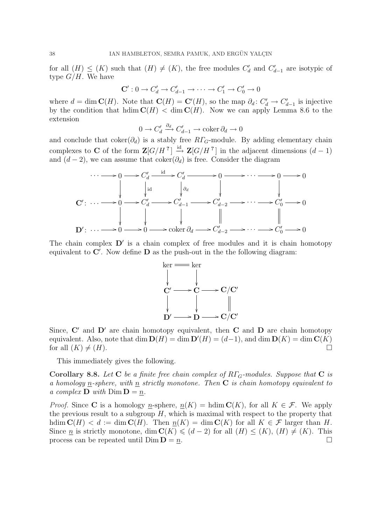for all  $(H) \leq (K)$  such that  $(H) \neq (K)$ , the free modules  $C'_d$  and  $C'_{d-1}$  are isotypic of type  $G/H$ . We have

$$
\mathbf{C}': 0 \to C'_d \to C'_{d-1} \to \cdots \to C'_1 \to C'_0 \to 0
$$

where  $d = \dim \mathbf{C}(H)$ . Note that  $\mathbf{C}(H) = \mathbf{C}'(H)$ , so the map  $\partial_d : C'_d \to C'_{d-1}$  is injective by the condition that hdim  $\mathbf{C}(H) < \dim \mathbf{C}(H)$ . Now we can apply Lemma 8.6 to the extension

$$
0 \to C'_d \xrightarrow{\partial_d} C'_{d-1} \to \operatorname{coker} \partial_d \to 0
$$

and conclude that  $coker(\partial_d)$  is a stably free  $R\Gamma_G$ -module. By adding elementary chain complexes to **C** of the form  $\mathbf{Z}[G/H^2] \stackrel{\text{id}}{\rightarrow} \mathbf{Z}[G/H^2]$  in the adjacent dimensions  $(d-1)$ and  $(d-2)$ , we can assume that coker $(\partial_d)$  is free. Consider the diagram



The chain complex  $D'$  is a chain complex of free modules and it is chain homotopy equivalent to  $\mathbf{C}'$ . Now define  $\mathbf{D}$  as the push-out in the the following diagram:



Since,  $C'$  and  $D'$  are chain homotopy equivalent, then  $C$  and  $D$  are chain homotopy equivalent. Also, note that dim  $\mathbf{D}(H) = \dim \mathbf{D}'(H) = (d-1)$ , and dim  $\mathbf{D}(K) = \dim \mathbf{C}(K)$ for all  $(K) \neq (H)$ .

This immediately gives the following.

Corollary 8.8. Let C be a finite free chain complex of  $R\Gamma$ <sub>G</sub>-modules. Suppose that C is a homology n-sphere, with  $n$  strictly monotone. Then  $C$  is chain homotopy equivalent to a complex  $\mathbf{D}$  with  $\text{Dim } \mathbf{D} = n$ .

*Proof.* Since C is a homology <u>n</u>-sphere,  $n(K)$  = hdim  $C(K)$ , for all  $K \in \mathcal{F}$ . We apply the previous result to a subgroup  $H$ , which is maximal with respect to the property that hdim  $\mathbf{C}(H) < d := \dim \mathbf{C}(H)$ . Then  $n(K) = \dim \mathbf{C}(K)$  for all  $K \in \mathcal{F}$  larger than H. Since <u>n</u> is strictly monotone, dim  $\mathbb{C}(K) \leq (d-2)$  for all  $(H) \leq (K)$ ,  $(H) \neq (K)$ . This process can be repeated until  $\text{Dim } \mathbf{D} = n$ .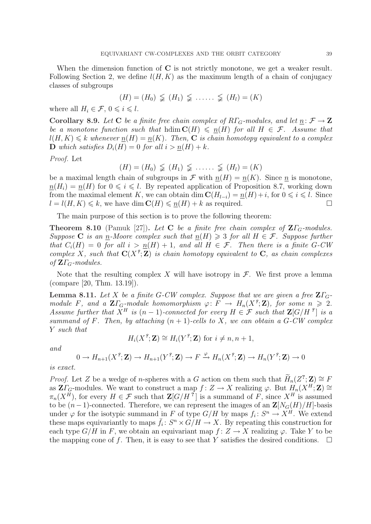$$
(H)=(H_0)\varsubsetneq (H_1)\varsubsetneq \ldots \varsubsetneq (H_l)=(K)
$$

where all  $H_i \in \mathcal{F}, 0 \leqslant i \leqslant l$ .

Corollary 8.9. Let C be a finite free chain complex of  $R\Gamma_G$ -modules, and let  $n: \mathcal{F} \to \mathbf{Z}$ be a monotone function such that hdim  $C(H) \leq n(H)$  for all  $H \in \mathcal{F}$ . Assume that  $l(H, K) \leq k$  whenever  $n(H) = n(K)$ . Then, **C** is chain homotopy equivalent to a complex **D** which satisfies  $D_i(H) = 0$  for all  $i > n(H) + k$ .

Proof. Let

$$
(H)=(H_0)\subsetneqq (H_1)\subsetneqq \ldots \ldots \subsetneqq (H_l)=(K)
$$

be a maximal length chain of subgroups in  $\mathcal F$  with  $n(H) = n(K)$ . Since n is monotone,  $n(H_i) = n(H)$  for  $0 \leq i \leq l$ . By repeated application of Proposition 8.7, working down from the maximal element K, we can obtain dim  $\mathbf{C}(H_{l-i}) = \underline{n}(H) + i$ , for  $0 \leq i \leq l$ . Since  $l = l(H, K) \leq k$ , we have dim  $\mathbf{C}(H) \leq n(H) + k$  as required.

The main purpose of this section is to prove the following theorem:

**Theorem 8.10** (Pamuk [27]). Let **C** be a finite free chain complex of  $\mathbb{Z}\Gamma$ <sub>G</sub>-modules. Suppose C is an n-Moore complex such that  $n(H) \geq 3$  for all  $H \in \mathcal{F}$ . Suppose further that  $C_i(H) = 0$  for all  $i > n(H) + 1$ , and all  $H \in \mathcal{F}$ . Then there is a finite G-CW complex X, such that  $C(X^2; Z)$  is chain homotopy equivalent to C, as chain complexes of  $\mathbf{Z}\Gamma_G$ -modules.

Note that the resulting complex X will have isotropy in  $\mathcal F$ . We first prove a lemma (compare [20, Thm. 13.19]).

**Lemma 8.11.** Let X be a finite G-CW complex. Suppose that we are given a free  $\mathbf{Z}\Gamma_{G}$ module F, and a  $\mathbf{Z}\Gamma_G$ -module homomorphism  $\varphi: F \to H_n(X^2;\mathbf{Z})$ , for some  $n \geq 2$ . Assume further that  $X^H$  is  $(n-1)$ -connected for every  $H \in \mathcal{F}$  such that  $\mathbf{Z}[G/H^{\{e\}}]$  is a summand of F. Then, by attaching  $(n + 1)$ -cells to X, we can obtain a G-CW complex Y such that

$$
H_i(X^{\ell}; \mathbf{Z}) \cong H_i(Y^{\ell}; \mathbf{Z}) \text{ for } i \neq n, n+1,
$$

and

$$
0 \to H_{n+1}(X^{\mathcal{G}}; \mathbf{Z}) \to H_{n+1}(Y^{\mathcal{G}}; \mathbf{Z}) \to F \xrightarrow{\varphi} H_n(X^{\mathcal{G}}; \mathbf{Z}) \to H_n(Y^{\mathcal{G}}; \mathbf{Z}) \to 0
$$

is exact.

*Proof.* Let Z be a wedge of n-spheres with a G action on them such that  $\widetilde{H}_n(Z^2; \mathbf{Z}) \cong F$ as  $\mathbf{Z}\big|_{G}$ -modules. We want to construct a map  $f: Z \to X$  realizing  $\varphi$ . But  $H_n(X^H; \mathbf{Z}) \cong$  $\pi_n(X^H)$ , for every  $H \in \mathcal{F}$  such that  $\mathbf{Z}[G/H^2]$  is a summand of F, since  $X^H$  is assumed to be  $(n-1)$ -connected. Therefore, we can represent the images of an  $\mathbb{Z}[N_G(H)/H]$ -basis under  $\varphi$  for the isotypic summand in F of type  $G/H$  by maps  $f_i: S^n \to X^H$ . We extend these maps equivariantly to maps  $\bar{f}_i: S^n \times G/H \to X$ . By repeating this construction for each type  $G/H$  in F, we obtain an equivariant map  $f: Z \to X$  realizing  $\varphi$ . Take Y to be the mapping cone of f. Then, it is easy to see that Y satisfies the desired conditions.  $\Box$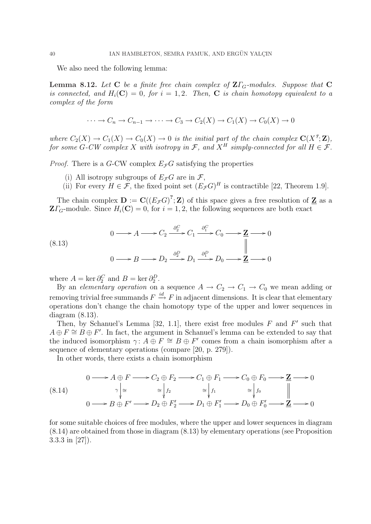We also need the following lemma:

**Lemma 8.12.** Let C be a finite free chain complex of  $\mathbf{Z}\Gamma_G$ -modules. Suppose that C is connected, and  $H_i(\mathbf{C}) = 0$ , for  $i = 1, 2$ . Then, **C** is chain homotopy equivalent to a complex of the form

$$
\cdots \to C_n \to C_{n-1} \to \cdots \to C_3 \to C_2(X) \to C_1(X) \to C_0(X) \to 0
$$

where  $C_2(X) \to C_1(X) \to C_0(X) \to 0$  is the initial part of the chain complex  $\mathbf{C}(X^2;\mathbf{Z}),$ for some G-CW complex X with isotropy in F, and  $X^H$  simply-connected for all  $H \in \mathcal{F}$ .

*Proof.* There is a G-CW complex  $E_{\mathcal{F}}G$  satisfying the properties

- (i) All isotropy subgroups of  $E_{\mathcal{F}}G$  are in  $\mathcal{F}$ ,
- (ii) For every  $H \in \mathcal{F}$ , the fixed point set  $(E_{\mathcal{F}}G)^{H}$  is contractible [22, Theorem 1.9].

The chain complex  $\mathbf{D} := \mathbf{C}((E_{\mathcal{F}}G)^2; \mathbf{Z})$  of this space gives a free resolution of  $\mathbf{Z}$  as a  $\mathbf{Z}\Gamma_G$ -module. Since  $H_i(\mathbf{C}) = 0$ , for  $i = 1, 2$ , the following sequences are both exact

(8.13)  
\n
$$
0 \longrightarrow A \longrightarrow C_2 \xrightarrow{\partial_2^C} C_1 \xrightarrow{\partial_1^C} C_0 \longrightarrow \mathbf{Z} \longrightarrow 0
$$
\n
$$
0 \longrightarrow B \longrightarrow D_2 \xrightarrow{\partial_2^D} D_1 \xrightarrow{\partial_1^D} D_0 \longrightarrow \mathbf{Z} \longrightarrow 0
$$

where  $A = \ker \partial_2^C$  and  $B = \ker \partial_2^D$ .

By an elementary operation on a sequence  $A \to C_2 \to C_1 \to C_0$  we mean adding or removing trivial free summands  $F \stackrel{id}{\to} F$  in adjacent dimensions. It is clear that elementary operations don't change the chain homotopy type of the upper and lower sequences in diagram (8.13).

Then, by Schanuel's Lemma [32, 1.1], there exist free modules  $F$  and  $F'$  such that  $A \oplus F \cong B \oplus F'$ . In fact, the argument in Schanuel's lemma can be extended to say that the induced isomorphism  $\gamma: A \oplus F \cong B \oplus F'$  comes from a chain isomorphism after a sequence of elementary operations (compare [20, p. 279]).

In other words, there exists a chain isomorphism

$$
(8.14) \quad 0 \longrightarrow A \oplus F \longrightarrow C_2 \oplus F_2 \longrightarrow C_1 \oplus F_1 \longrightarrow C_0 \oplus F_0 \longrightarrow \mathbf{Z} \longrightarrow 0
$$
  

$$
\gamma \Big| \cong \Big| f_2 \cong \Big| f_1 \cong \Big| f_0 \cong \Big| f_0 \Big|
$$
  

$$
0 \longrightarrow B \oplus F' \longrightarrow D_2 \oplus F'_2 \longrightarrow D_1 \oplus F'_1 \longrightarrow D_0 \oplus F'_0 \longrightarrow \mathbf{Z} \longrightarrow 0
$$

for some suitable choices of free modules, where the upper and lower sequences in diagram (8.14) are obtained from those in diagram (8.13) by elementary operations (see Proposition 3.3.3 in [27]).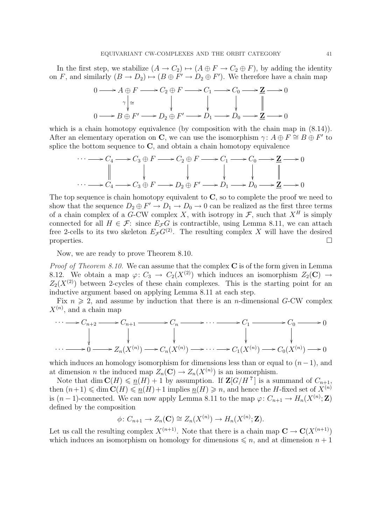In the first step, we stabilize  $(A \to C_2) \mapsto (A \oplus F \to C_2 \oplus F)$ , by adding the identity on F, and similarly  $(B \to D_2) \to (B \oplus F' \to D_2 \oplus F')$ . We therefore have a chain map

$$
0 \longrightarrow A \oplus F \longrightarrow C_2 \oplus F \longrightarrow C_1 \longrightarrow C_0 \longrightarrow \mathbf{Z} \longrightarrow 0
$$
  
\n
$$
\gamma \Big| \cong \qquad \qquad \downarrow \qquad \qquad \downarrow \qquad \qquad \Big|
$$
  
\n
$$
0 \longrightarrow B \oplus F' \longrightarrow D_2 \oplus F' \longrightarrow D_1 \longrightarrow D_0 \longrightarrow \mathbf{Z} \longrightarrow 0
$$

which is a chain homotopy equivalence (by composition with the chain map in  $(8.14)$ ). After an elementary operation on C, we can use the isomorphism  $\gamma: A \oplus F \cong B \oplus F'$  to splice the bottom sequence to  $C$ , and obtain a chain homotopy equivalence

$$
\cdots \longrightarrow C_4 \longrightarrow C_3 \oplus F \longrightarrow C_2 \oplus F \longrightarrow C_1 \longrightarrow C_0 \longrightarrow \mathbf{Z} \longrightarrow 0
$$
  
\n
$$
\parallel \qquad \qquad \downarrow \qquad \qquad \downarrow \qquad \qquad \downarrow \qquad \qquad \parallel
$$
  
\n
$$
\cdots \longrightarrow C_4 \longrightarrow C_3 \oplus F \longrightarrow D_2 \oplus F' \longrightarrow D_1 \longrightarrow D_0 \longrightarrow \mathbf{Z} \longrightarrow 0
$$

The top sequence is chain homotopy equivalent to  $C$ , so to complete the proof we need to show that the sequence  $D_2 \oplus F' \to D_1 \to D_0 \to 0$  can be realized as the first three terms of a chain complex of a G-CW complex X, with isotropy in  $\mathcal{F}$ , such that  $X^H$  is simply connected for all  $H \in \mathcal{F}$ : since  $E_{\mathcal{F}}G$  is contractible, using Lemma 8.11, we can attach free 2-cells to its two skeleton  $E_{\mathcal{F}}G^{(2)}$ . The resulting complex X will have the desired properties.  $\Box$ 

Now, we are ready to prove Theorem 8.10.

*Proof of Theorem 8.10.* We can assume that the complex  $C$  is of the form given in Lemma 8.12. We obtain a map  $\varphi: C_3 \to C_2(X^{(2)})$  which induces an isomorphism  $Z_2(\mathbf{C}) \to$  $Z_2(X^{(2)})$  between 2-cycles of these chain complexes. This is the starting point for an inductive argument based on applying Lemma 8.11 at each step.

Fix  $n \geq 2$ , and assume by induction that there is an *n*-dimensional G-CW complex  $X^{(n)}$ , and a chain map

$$
\cdots \longrightarrow C_{n+2} \longrightarrow C_{n+1} \longrightarrow C_n \longrightarrow \cdots \longrightarrow C_1 \longrightarrow C_0 \longrightarrow 0
$$
  
\n
$$
\downarrow \qquad \qquad \downarrow \qquad \qquad \downarrow
$$
  
\n
$$
\cdots \longrightarrow 0 \longrightarrow Z_n(X^{(n)}) \longrightarrow C_n(X^{(n)}) \longrightarrow \cdots \longrightarrow C_1(X^{(n)}) \longrightarrow C_0(X^{(n)}) \longrightarrow 0
$$

which induces an homology isomorphism for dimensions less than or equal to  $(n-1)$ , and at dimension *n* the induced map  $Z_n(\mathbf{C}) \to Z_n(X^{(n)})$  is an isomorphism.

Note that dim  $\mathbf{C}(H) \leq \underline{n}(H) + 1$  by assumption. If  $\mathbf{Z}[G/H^2]$  is a summand of  $C_{n+1}$ , then  $(n+1) \leq \dim C(H) \leq \underline{n}(H)+1$  implies  $\underline{n}(H) \geq n$ , and hence the H-fixed set of  $X^{(n)}$ is  $(n-1)$ -connected. We can now apply Lemma 8.11 to the map  $\varphi: C_{n+1} \to H_n(X^{(n)}; \mathbf{Z})$ defined by the composition

$$
\phi\colon C_{n+1}\to Z_n(\mathbf{C})\cong Z_n(X^{(n)})\to H_n(X^{(n)};\mathbf{Z}).
$$

Let us call the resulting complex  $X^{(n+1)}$ . Note that there is a chain map  $\mathbf{C} \to \mathbf{C}(X^{(n+1)})$ which induces an isomorphism on homology for dimensions  $\leq n$ , and at dimension  $n + 1$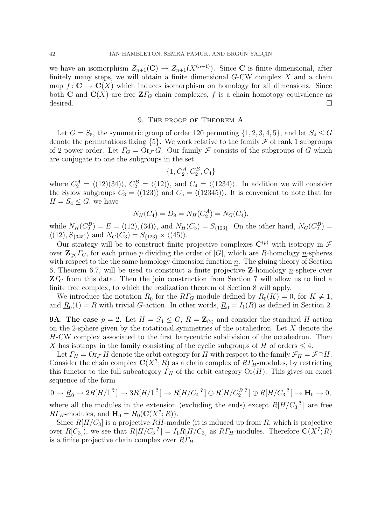we have an isomorphism  $Z_{n+1}(\mathbf{C}) \to Z_{n+1}(X^{(n+1)})$ . Since **C** is finite dimensional, after finitely many steps, we will obtain a finite dimensional  $G-CW$  complex  $X$  and a chain map  $f: \mathbf{C} \to \mathbf{C}(X)$  which induces isomorphism on homology for all dimensions. Since both **C** and  $\mathbf{C}(X)$  are free  $\mathbf{Z}\Gamma_G$ -chain complexes, f is a chain homotopy equivalence as desired.  $\Box$ 

# 9. The proof of Theorem A

Let  $G = S_5$ , the symmetric group of order 120 permuting  $\{1, 2, 3, 4, 5\}$ , and let  $S_4 \leq G$ denote the permutations fixing  $\{5\}$ . We work relative to the family  $\mathcal F$  of rank 1 subgroups of 2-power order. Let  $\Gamma_G = \text{Or}_{\mathcal{F}} G$ . Our family  $\mathcal F$  consists of the subgroups of G which are conjugate to one the subgroups in the set

$$
\{1, C_2^A, C_2^B, C_4\}
$$

where  $C_2^A = \langle (12)(34) \rangle$ ,  $C_2^B = \langle (12) \rangle$ , and  $C_4 = \langle (1234) \rangle$ . In addition we will consider the Sylow subgroups  $C_3 = \langle (123) \rangle$  and  $C_5 = \langle (12345) \rangle$ . It is convenient to note that for  $H = S_4 \leq G$ , we have

$$
N_H(C_4) = D_8 = N_H(C_2^A) = N_G(C_4),
$$

while  $N_H(C_2^B) = E = \langle (12), (34) \rangle$ , and  $N_H(C_3) = S_{\{123\}}$ . On the other hand,  $N_G(C_2^B) =$  $\langle (12), S_{345} \rangle$  and  $N_G(C_3) = S_{123} \times \langle (45) \rangle$ .

Our strategy will be to construct finite projective complexes  $\mathbf{C}^{(p)}$  with isotropy in  $\mathcal F$ over  $\mathbf{Z}_{(p)}\Gamma_G$ , for each prime p dividing the order of  $|G|$ , which are R-homology n-spheres with respect to the the same homology dimension function  $n$ . The gluing theory of Section 6, Theorem 6.7, will be used to construct a finite projective **Z**-homology *n*-sphere over  $Z\Gamma$ <sub>G</sub> from this data. Then the join construction from Section 7 will allow us to find a finite free complex, to which the realization theorem of Section 8 will apply.

We introduce the notation  $\underline{R}_0$  for the  $R\Gamma_G$ -module defined by  $\underline{R}_0(K) = 0$ , for  $K \neq 1$ , and  $\underline{R}_0(1) = R$  with trivial G-action. In other words,  $\underline{R}_0 = I_1(R)$  as defined in Section 2.

**9A.** The case  $p = 2$ . Let  $H = S_4 \leq G$ ,  $R = \mathbb{Z}_{(2)}$  and consider the standard H-action on the 2-sphere given by the rotational symmetries of the octahedron. Let  $X$  denote the H-CW complex associated to the first barycentric subdivision of the octahedron. Then X has isotropy in the family consisting of the cyclic subgroups of H of orders  $\leq 4$ .

Let  $\Gamma_H = \text{Or}_{\mathcal{F}} H$  denote the orbit category for H with respect to the family  $\mathcal{F}_H = \mathcal{F} \cap H$ . Consider the chain complex  $C(X^?; R)$  as a chain complex of  $R\Gamma_H$ -modules, by restricting this functor to the full subcategory  $\Gamma_H$  of the orbit category  $\text{Or}(H)$ . This gives an exact sequence of the form

$$
0 \to \underline{R}_0 \to 2R[H/1^2] \to 3R[H/1^2] \to R[H/C_4^2] \oplus R[H/C_2^{B^2}] \oplus R[H/C_3^2] \to \mathbf{H}_0 \to 0,
$$

where all the modules in the extension (excluding the ends) except  $R[H/C_3]$ <sup>?</sup> are free  $R\Gamma_H$ -modules, and  $\mathbf{H}_0 = H_0(\mathbf{C}(X^?; R)).$ 

Since  $R[H/C_3]$  is a projective  $RH$ -module (it is induced up from R, which is projective over  $R[C_3]$ , we see that  $R[H/C_3]^2 = I_1R[H/C_3]$  as  $R\Gamma_H$ -modules. Therefore  $\mathbb{C}(X^2;R)$ is a finite projective chain complex over  $R\Gamma_H$ .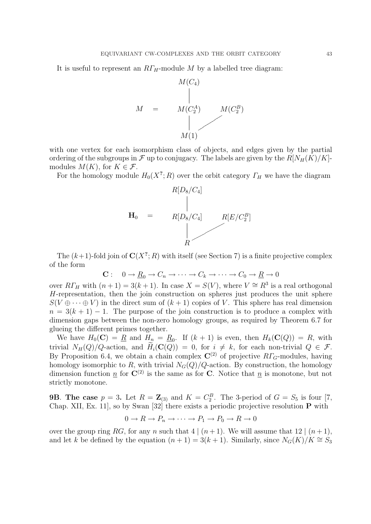It is useful to represent an  $RT_H$ -module M by a labelled tree diagram:



with one vertex for each isomorphism class of objects, and edges given by the partial ordering of the subgroups in  $\mathcal F$  up to conjugacy. The labels are given by the  $R[N_H(K)/K]$ modules  $M(K)$ , for  $K \in \mathcal{F}$ .

For the homology module  $H_0(X^?; R)$  over the orbit category  $\Gamma_H$  we have the diagram



The  $(k+1)$ -fold join of  $\mathbb{C}(X^?;R)$  with itself (see Section 7) is a finite projective complex of the form

$$
\mathbf{C}: \quad 0 \to \underline{R}_0 \to C_n \to \cdots \to C_k \to \cdots \to C_0 \to \underline{R} \to 0
$$

over  $R\Gamma_H$  with  $(n+1) = 3(k+1)$ . In case  $X = S(V)$ , where  $V \cong R^3$  is a real orthogonal H-representation, then the join construction on spheres just produces the unit sphere  $S(V \oplus \cdots \oplus V)$  in the direct sum of  $(k+1)$  copies of V. This sphere has real dimension  $n = 3(k + 1) - 1$ . The purpose of the join construction is to produce a complex with dimension gaps between the non-zero homology groups, as required by Theorem 6.7 for glueing the different primes together.

We have  $H_0(\mathbf{C}) = \underline{R}$  and  $H_n = \underline{R}_0$ . If  $(k+1)$  is even, then  $H_k(\mathbf{C}(Q)) = R$ , with trivial  $N_H(Q)/Q$ -action, and  $\widetilde{H}_i(\mathbf{C}(Q)) = 0$ , for  $i \neq k$ , for each non-trivial  $Q \in \mathcal{F}$ . By Proposition 6.4, we obtain a chain complex  $\mathbb{C}^{(2)}$  of projective  $R\Gamma_G$ -modules, having homology isomorphic to R, with trivial  $N_G(Q)/Q$ -action. By construction, the homology dimension function  $\underline{n}$  for  $\mathbf{C}^{(2)}$  is the same as for C. Notice that  $\underline{n}$  is monotone, but not strictly monotone.

**9B. The case**  $p = 3$ . Let  $R = \mathbb{Z}_{(3)}$  and  $K = C_2^B$ . The 3-period of  $G = S_5$  is four [7, Chap. XII, Ex. 11, so by Swan [32] there exists a periodic projective resolution  $P$  with

$$
0 \to R \to P_n \to \cdots \to P_1 \to P_0 \to R \to 0
$$

over the group ring RG, for any n such that  $4 | (n+1)$ . We will assume that  $12 | (n+1)$ , and let k be defined by the equation  $(n + 1) = 3(k + 1)$ . Similarly, since  $N_G(K)/K \cong S_3$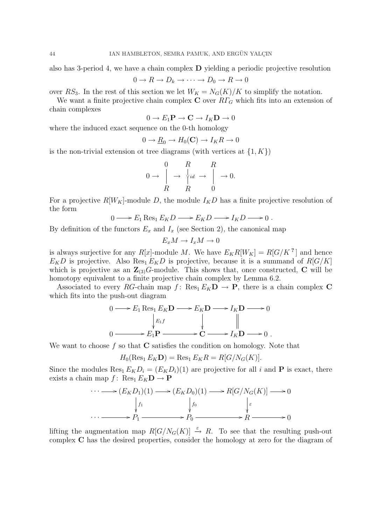also has 3-period 4, we have a chain complex  $\bf{D}$  yielding a periodic projective resolution

$$
0 \to R \to D_k \to \cdots \to D_0 \to R \to 0
$$

over RS<sub>3</sub>. In the rest of this section we let  $W_K = N_G(K)/K$  to simplify the notation.

We want a finite projective chain complex  $C$  over  $R\Gamma_G$  which fits into an extension of chain complexes

 $0 \to E_1\mathbf{P} \to \mathbf{C} \to I_K\mathbf{D} \to 0$ 

where the induced exact sequence on the 0-th homology

$$
0 \to \underline{R}_0 \to H_0(\mathbf{C}) \to I_K R \to 0
$$

is the non-trivial extension ot tree diagrams (with vertices at  $\{1, K\}$ )

$$
0 \to \begin{array}{ccc} 0 & R & R \\ \downarrow & \downarrow_{id} \to \begin{array}{ccc} R \\ \downarrow & \downarrow & \downarrow \end{array} \to 0.
$$
  

$$
R & R & 0
$$

For a projective  $R[W_K]$ -module D, the module  $I_KD$  has a finite projective resolution of the form

$$
0 \longrightarrow E_1 \operatorname{Res}_1 E_K D \longrightarrow E_K D \longrightarrow I_K D \longrightarrow 0.
$$

By definition of the functors  $E_x$  and  $I_x$  (see Section 2), the canonical map

$$
E_x M \to I_x M \to 0
$$

is always surjective for any  $R[x]$ -module M. We have  $E_K R[W_K] = R[G/K^2]$  and hence  $E_KD$  is projective. Also Res<sub>1</sub>  $E_KD$  is projective, because it is a summand of  $R[G/K]$ which is projective as an  $\mathbb{Z}_{(3)}G$ -module. This shows that, once constructed, C will be homotopy equivalent to a finite projective chain complex by Lemma 6.2.

Associated to every RG-chain map f: Res<sub>1</sub>  $E_K$ **D**  $\rightarrow$  **P**, there is a chain complex **C** which fits into the push-out diagram

$$
0 \longrightarrow E_1 \operatorname{Res}_1 E_K \mathbf{D} \longrightarrow E_K \mathbf{D} \longrightarrow I_K \mathbf{D} \longrightarrow 0
$$
  
\n
$$
\downarrow_{E_1 f} \qquad \qquad \downarrow \qquad \qquad \parallel
$$
  
\n
$$
0 \longrightarrow E_1 \mathbf{P} \longrightarrow \mathbf{C} \longrightarrow I_K \mathbf{D} \longrightarrow 0.
$$

We want to choose f so that  $C$  satisfies the condition on homology. Note that

 $H_0(\text{Res}_1 E_K \mathbf{D}) = \text{Res}_1 E_K R = R[G/N_G(K)].$ 

Since the modules  $\text{Res}_1 E_K D_i = (E_K D_i)(1)$  are projective for all i and **P** is exact, there exists a chain map  $f: Res_1 E_K \mathbf{D} \to \mathbf{P}$ 

$$
\cdots \longrightarrow (E_K D_1)(1) \longrightarrow (E_K D_0)(1) \longrightarrow R[G/N_G(K)] \longrightarrow 0
$$
  
\n
$$
\downarrow f_1 \qquad \qquad \downarrow f_0 \qquad \qquad \downarrow \varepsilon
$$
  
\n
$$
\cdots \longrightarrow P_1 \longrightarrow P_0 \longrightarrow R \longrightarrow 0
$$

lifting the augmentation map  $R[G/N_G(K)] \stackrel{\varepsilon}{\rightarrow} R$ . To see that the resulting push-out complex C has the desired properties, consider the homology at zero for the diagram of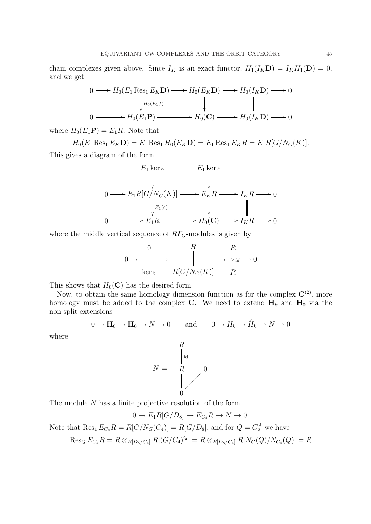chain complexes given above. Since  $I_K$  is an exact functor,  $H_1(I_K\mathbf{D}) = I_K H_1(\mathbf{D}) = 0$ , and we get

$$
0 \longrightarrow H_0(E_1 \operatorname{Res}_1 E_K \mathbf{D}) \longrightarrow H_0(E_K \mathbf{D}) \longrightarrow H_0(I_K \mathbf{D}) \longrightarrow 0
$$
  
\n
$$
\downarrow H_0(E_1 f) \qquad \qquad \downarrow \qquad \qquad \parallel
$$
  
\n
$$
0 \longrightarrow H_0(E_1 \mathbf{P}) \longrightarrow H_0(\mathbf{C}) \longrightarrow H_0(I_K \mathbf{D}) \longrightarrow 0
$$

where  $H_0(E_1\mathbf{P})=E_1R$ . Note that

 $H_0(E_1 \text{Res}_1 E_K \mathbf{D}) = E_1 \text{Res}_1 H_0(E_K \mathbf{D}) = E_1 \text{Res}_1 E_K R = E_1 R[G/N_G(K)].$ 

This gives a diagram of the form

$$
E_1 \ker \varepsilon \longrightarrow E_1 R [G/N_G(K)] \longrightarrow E_K R \longrightarrow I_K R \longrightarrow 0
$$
  
\n
$$
\downarrow E_1(\varepsilon) \qquad \qquad \downarrow E_1(\varepsilon) \qquad \qquad \downarrow E_1(R) \longrightarrow 0
$$
  
\n
$$
0 \longrightarrow E_1 R \longrightarrow H_0(\mathbf{C}) \longrightarrow I_K R \longrightarrow 0
$$

where the middle vertical sequence of  $R\Gamma$ <sub>G</sub>-modules is given by

$$
0 \to \begin{array}{ccc} 0 & R & R \\ \downarrow & \to & \downarrow \\ \ker \varepsilon & R[G/N_G(K)] & R \end{array} \to \begin{array}{ccc} R & & & \\ \downarrow_{id} & \to 0 \\ R & & & \end{array}
$$

This shows that  $H_0(\mathbf{C})$  has the desired form.

Now, to obtain the same homology dimension function as for the complex  $\mathbb{C}^{(2)}$ , more homology must be added to the complex C. We need to extend  $H_k$  and  $H_0$  via the non-split extensions

$$
0 \to \mathbf{H}_0 \to \hat{\mathbf{H}}_0 \to N \to 0 \quad \text{and} \quad 0 \to H_k \to \hat{H}_k \to N \to 0
$$

where



The module N has a finite projective resolution of the form

$$
0 \to E_1R[G/D_8] \to E_{C_4}R \to N \to 0.
$$

Note that  $\text{Res}_1 E_{C_4} R = R[G/N_G(C_4)] = R[G/D_8]$ , and for  $Q = C_2^A$  we have

$$
\operatorname{Res}_Q E_{C_4} R = R \otimes_{R[D_8/C_4]} R[(G/C_4)^Q] = R \otimes_{R[D_8/C_4]} R[N_G(Q)/N_{C_4}(Q)] = R
$$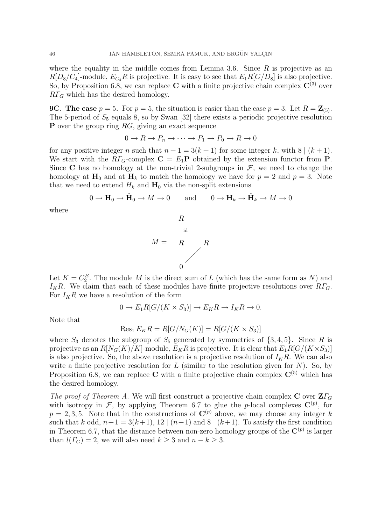where the equality in the middle comes from Lemma 3.6. Since  $R$  is projective as an  $R[D_8/C_4]$ -module,  $E_{C_4}R$  is projective. It is easy to see that  $E_1R[G/D_8]$  is also projective. So, by Proposition 6.8, we can replace C with a finite projective chain complex  $\mathbb{C}^{(3)}$  over  $R\Gamma_G$  which has the desired homology.

**9C.** The case  $p = 5$ . For  $p = 5$ , the situation is easier than the case  $p = 3$ . Let  $R = \mathbb{Z}_{(5)}$ . The 5-period of  $S_5$  equals 8, so by Swan [32] there exists a periodic projective resolution **P** over the group ring  $RG$ , giving an exact sequence

$$
0 \to R \to P_n \to \cdots \to P_1 \to P_0 \to R \to 0
$$

for any positive integer n such that  $n + 1 = 3(k + 1)$  for some integer k, with  $8 | (k + 1)$ . We start with the  $R\Gamma_G$ -complex  $\mathbf{C} = E_1\mathbf{P}$  obtained by the extension functor from  $\mathbf{P}$ . Since C has no homology at the non-trivial 2-subgroups in  $\mathcal{F}$ , we need to change the homology at  $H_0$  and at  $H_k$  to match the homology we have for  $p = 2$  and  $p = 3$ . Note that we need to extend  $H_k$  and  $H_0$  via the non-split extensions

$$
0 \to \mathbf{H}_0 \to \hat{\mathbf{H}}_0 \to M \to 0 \quad \text{and} \quad 0 \to \mathbf{H}_k \to \hat{\mathbf{H}}_k \to M \to 0
$$

where



Let  $K = C_2^B$ . The module M is the direct sum of L (which has the same form as N) and  $I_KR$ . We claim that each of these modules have finite projective resolutions over  $R\Gamma_G$ . For  $I_KR$  we have a resolution of the form

$$
0 \to E_1R[G/(K \times S_3)] \to E_KR \to I_KR \to 0.
$$

Note that

$$
Res_1 E_K R = R[G/N_G(K)] = R[G/(K \times S_3)]
$$

where  $S_3$  denotes the subgroup of  $S_5$  generated by symmetries of  $\{3, 4, 5\}$ . Since R is projective as an  $R[N_G(K)/K]$ -module,  $E_K R$  is projective. It is clear that  $E_1R[G/(K\times S_3)]$ is also projective. So, the above resolution is a projective resolution of  $I_K R$ . We can also write a finite projective resolution for  $L$  (similar to the resolution given for  $N$ ). So, by Proposition 6.8, we can replace C with a finite projective chain complex  $C^{(5)}$  which has the desired homology.

The proof of Theorem A. We will first construct a projective chain complex C over  $Z\Gamma_G$ with isotropy in F, by applying Theorem 6.7 to glue the p-local complexes  $\mathbf{C}^{(p)}$ , for  $p = 2, 3, 5$ . Note that in the constructions of  $\mathbb{C}^{(p)}$  above, we may choose any integer k such that k odd,  $n+1 = 3(k+1)$ , 12  $(n+1)$  and 8  $(k+1)$ . To satisfy the first condition in Theorem 6.7, that the distance between non-zero homology groups of the  $\mathbf{C}^{(p)}$  is larger than  $l(\Gamma_G) = 2$ , we will also need  $k \geq 3$  and  $n - k \geq 3$ .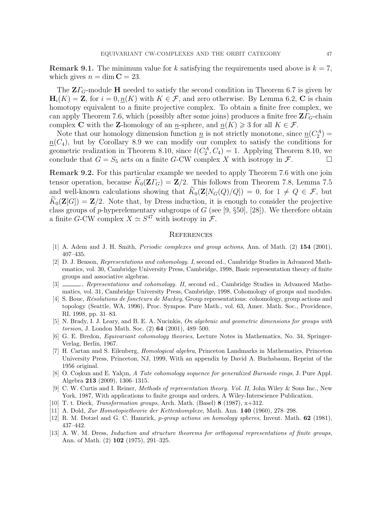**Remark 9.1.** The minimum value for k satisfying the requirements used above is  $k = 7$ , which gives  $n = \dim C = 23$ .

The  $Z\Gamma_G$ -module H needed to satisfy the second condition in Theorem 6.7 is given by  $H_i(K) = \mathbb{Z}$ , for  $i = 0, n(K)$  with  $K \in \mathcal{F}$ , and zero otherwise. By Lemma 6.2, C is chain homotopy equivalent to a finite projective complex. To obtain a finite free complex, we can apply Theorem 7.6, which (possibly after some joins) produces a finite free  $Z\Gamma$ <sub>G</sub>-chain complex C with the Z-homology of an  $\underline{n}$ -sphere, and  $\underline{n}(K) \geqslant 3$  for all  $K \in \mathcal{F}$ .

Note that our homology dimension function  $\underline{n}$  is not strictly monotone, since  $\underline{n}(C_2^A)$  =  $n(C_4)$ , but by Corollary 8.9 we can modify our complex to satisfy the conditions for geometric realization in Theorem 8.10, since  $l(C_2^A, C_4) = 1$ . Applying Theorem 8.10, we conclude that  $G = S_5$  acts on a finite G-CW complex X with isotropy in F.

Remark 9.2. For this particular example we needed to apply Theorem 7.6 with one join tensor operation, because  $K_0(Z\Gamma_G) = \mathbb{Z}/2$ . This follows from Theorem 7.8, Lemma 7.5 and well-known calculations showing that  $\widetilde{K}_0(\mathbf{Z}[N_G(Q)/Q]) = 0$ , for  $1 \neq Q \in \mathcal{F}$ , but  $K_0(\mathbf{Z}[G]) = \mathbf{Z}/2$ . Note that, by Dress induction, it is enough to consider the projective class groups of p-hyperelementary subgroups of  $G$  (see [9, §50], [28]). We therefore obtain a finite G-CW complex  $X \simeq S^{47}$  with isotropy in  $\mathcal{F}$ .

# **REFERENCES**

- [1] A. Adem and J. H. Smith, *Periodic complexes and group actions*, Ann. of Math. (2) **154** (2001), 407–435.
- [2] D. J. Benson, Representations and cohomology. I, second ed., Cambridge Studies in Advanced Mathematics, vol. 30, Cambridge University Press, Cambridge, 1998, Basic representation theory of finite groups and associative algebras.
- [3]  $\ldots$ , Representations and cohomology. II, second ed., Cambridge Studies in Advanced Mathematics, vol. 31, Cambridge University Press, Cambridge, 1998, Cohomology of groups and modules.
- [4] S. Bouc, *Résolutions de foncteurs de Mackey*, Group representations: cohomology, group actions and topology (Seattle, WA, 1996), Proc. Sympos. Pure Math., vol. 63, Amer. Math. Soc., Providence, RI, 1998, pp. 31–83.
- [5] N. Brady, I. J. Leary, and B. E. A. Nucinkis, On algebraic and geometric dimensions for groups with torsion, J. London Math. Soc. (2) 64 (2001), 489–500.
- [6] G. E. Bredon, Equivariant cohomology theories, Lecture Notes in Mathematics, No. 34, Springer-Verlag, Berlin, 1967.
- [7] H. Cartan and S. Eilenberg, Homological algebra, Princeton Landmarks in Mathematics, Princeton University Press, Princeton, NJ, 1999, With an appendix by David A. Buchsbaum, Reprint of the 1956 original.
- [8] O. Coskun and E. Yalçın, A Tate cohomology sequence for generalized Burnside rings, J. Pure Appl. Algebra 213 (2009), 1306–1315.
- [9] C. W. Curtis and I. Reiner, Methods of representation theory. Vol. II, John Wiley & Sons Inc., New York, 1987, With applications to finite groups and orders, A Wiley-Interscience Publication.
- [10] T. t. Dieck, Transformation groups, Arch. Math. (Basel) 8 (1987), x+312.
- [11] A. Dold, Zur Homotopietheorie der Kettenkomplexe, Math. Ann. 140 (1960), 278–298.
- [12] R. M. Dotzel and G. C. Hamrick, *p*-group actions on homology spheres, Invent. Math. **62** (1981), 437–442.
- [13] A. W. M. Dress, Induction and structure theorems for orthogonal representations of finite groups, Ann. of Math. (2) 102 (1975), 291–325.